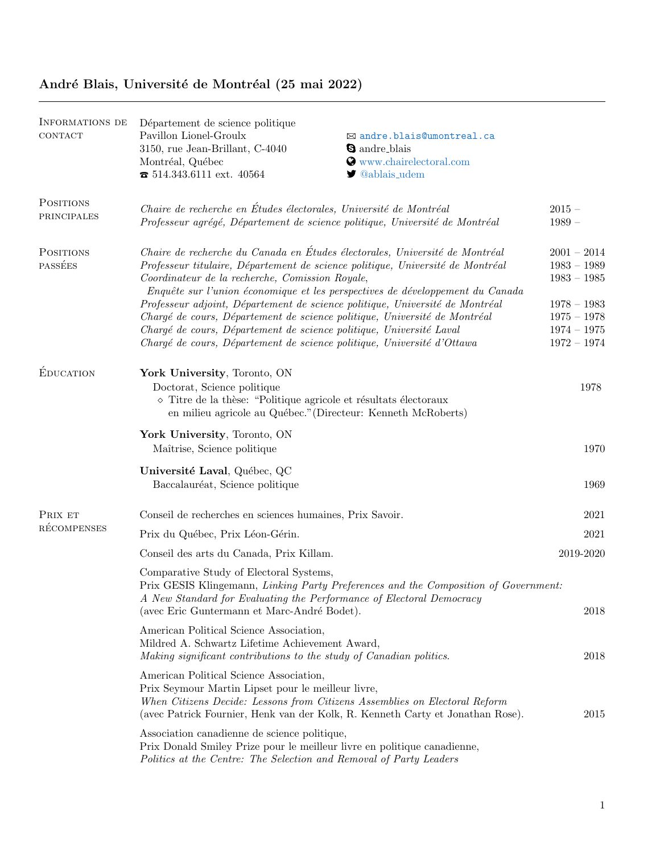## Informations de **CONTACT** Département de science politique Pavillon Lionel-Groulx B [andre.blais@umontreal.ca](mailto:andre.blais@umontreal.ca) 3150, rue Jean-Brillant, C-4040  $\bullet$  andre blais Montréal, Québec **and C** [www.chairelectoral.com](http://www.chairelectoral.com)  $\bullet$  514.343.6111 ext. 40564  $\bullet$  [@ablais](https://twitter.com/ablais_udem)\_udem **POSITIONS** principales Chaire de recherche en Études électorales, Université de Montréal  $2015 -$ Professeur agrégé, Département de science politique, Université de Montréal 1989 – **POSITIONS PASSÉES** Chaire de recherche du Canada en Études électorales, Université de Montréal  $2001 - 2014$ Professeur titulaire, Département de science politique, Université de Montréal 1983 – 1989 Coordinateur de la recherche, Comission Royale, 1983 – 1985 Enquête sur l'union économique et les perspectives de développement du Canada Professeur adjoint, Département de science politique, Université de Montréal  $1978 - 1983$ Chargé de cours, Département de science politique, Université de Montréal  $1975 - 1978$ Chargé de cours, Département de science politique, Université Laval  $1974 - 1975$ Chargé de cours, Département de science politique, Université d'Ottawa  $1972 - 1974$ ÉDUCATION York University, Toronto, ON Doctorat, Science politique 1978  $\Diamond$  Titre de la thèse: "Politique agricole et résultats électoraux en milieu agricole au Québec."(Directeur: Kenneth McRoberts) York University, Toronto, ON Maîtrise, Science politique 1970 Université Laval, Québec, QC Baccalauréat, Science politique 1969 PRIX ET **RÉCOMPENSES** Conseil de recherches en sciences humaines, Prix Savoir. 2021 Prix du Québec, Prix Léon-Gérin. 2021 and the state of the state of the state of the state of the state of the state of the state of the state of the state of the state of the state of the state of the state of the state o Conseil des arts du Canada, Prix Killam. 2019-2020 Comparative Study of Electoral Systems, Prix GESIS Klingemann, Linking Party Preferences and the Composition of Government: A New Standard for Evaluating the Performance of Electoral Democracy (avec Eric Guntermann et Marc-Andr´e Bodet). 2018 American Political Science Association, Mildred A. Schwartz Lifetime Achievement Award, Making significant contributions to the study of Canadian politics. 2018 American Political Science Association, Prix Seymour Martin Lipset pour le meilleur livre, When Citizens Decide: Lessons from Citizens Assemblies on Electoral Reform (avec Patrick Fournier, Henk van der Kolk, R. Kenneth Carty et Jonathan Rose). 2015 Association canadienne de science politique, Prix Donald Smiley Prize pour le meilleur livre en politique canadienne, Politics at the Centre: The Selection and Removal of Party Leaders

## André Blais, Université de Montréal (25 mai 2022)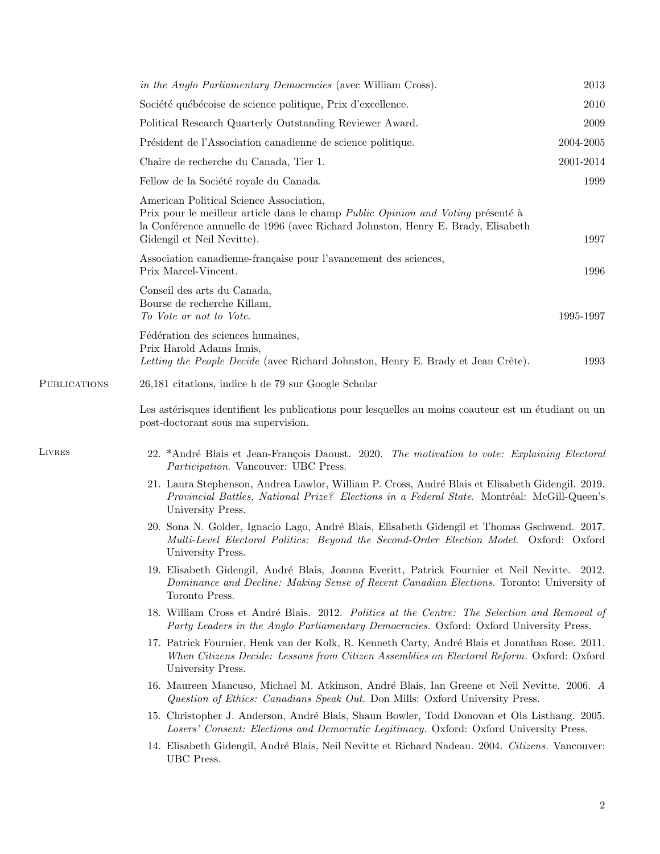|              | in the Anglo Parliamentary Democracies (avec William Cross).                                                                                                                                                                                  | 2013      |  |
|--------------|-----------------------------------------------------------------------------------------------------------------------------------------------------------------------------------------------------------------------------------------------|-----------|--|
|              | Société québécoise de science politique, Prix d'excellence.                                                                                                                                                                                   | 2010      |  |
|              | Political Research Quarterly Outstanding Reviewer Award.                                                                                                                                                                                      | 2009      |  |
|              | Président de l'Association canadienne de science politique.                                                                                                                                                                                   | 2004-2005 |  |
|              | Chaire de recherche du Canada, Tier 1.                                                                                                                                                                                                        | 2001-2014 |  |
|              | Fellow de la Société royale du Canada.                                                                                                                                                                                                        | 1999      |  |
|              | American Political Science Association,<br>Prix pour le meilleur article dans le champ Public Opinion and Voting présenté à<br>la Conférence annuelle de 1996 (avec Richard Johnston, Henry E. Brady, Elisabeth<br>Gidengil et Neil Nevitte). | 1997      |  |
|              | Association canadienne-française pour l'avancement des sciences,<br>Prix Marcel-Vincent.                                                                                                                                                      | 1996      |  |
|              | Conseil des arts du Canada,<br>Bourse de recherche Killam,<br>To Vote or not to Vote.                                                                                                                                                         | 1995-1997 |  |
|              | Fédération des sciences humaines,<br>Prix Harold Adams Innis,<br>Letting the People Decide (avec Richard Johnston, Henry E. Brady et Jean Crête).                                                                                             | 1993      |  |
| PUBLICATIONS | 26,181 citations, indice h de 79 sur Google Scholar                                                                                                                                                                                           |           |  |
|              | Les astérisques identifient les publications pour lesquelles au moins coauteur est un étudiant ou un<br>post-doctorant sous ma supervision.                                                                                                   |           |  |
| LIVRES       | 22. *André Blais et Jean-François Daoust. 2020. The motivation to vote: Explaining Electoral<br>Participation. Vancouver: UBC Press.                                                                                                          |           |  |
|              | 21. Laura Stephenson, Andrea Lawlor, William P. Cross, André Blais et Elisabeth Gidengil. 2019.<br>Provincial Battles, National Prize? Elections in a Federal State. Montréal: McGill-Queen's<br>University Press.                            |           |  |
|              | 20. Sona N. Golder, Ignacio Lago, André Blais, Elisabeth Gidengil et Thomas Gschwend. 2017.<br>Multi-Level Electoral Politics: Beyond the Second-Order Election Model. Oxford: Oxford<br>University Press.                                    |           |  |
|              | 19. Elisabeth Gidengil, André Blais, Joanna Everitt, Patrick Fournier et Neil Nevitte. 2012.<br>Dominance and Decline: Making Sense of Recent Canadian Elections. Toronto: University of<br>Toronto Press.                                    |           |  |
|              | 18. William Cross et André Blais. 2012. Politics at the Centre: The Selection and Removal of<br>Party Leaders in the Anglo Parliamentary Democracies. Oxford: Oxford University Press.                                                        |           |  |
|              | 17. Patrick Fournier, Henk van der Kolk, R. Kenneth Carty, André Blais et Jonathan Rose. 2011.<br>When Citizens Decide: Lessons from Citizen Assemblies on Electoral Reform. Oxford: Oxford<br>University Press.                              |           |  |
|              | 16. Maureen Mancuso, Michael M. Atkinson, André Blais, Ian Greene et Neil Nevitte. 2006. A<br>Question of Ethics: Canadians Speak Out. Don Mills: Oxford University Press.                                                                    |           |  |
|              | 15. Christopher J. Anderson, André Blais, Shaun Bowler, Todd Donovan et Ola Listhaug. 2005.<br>Losers' Consent: Elections and Democratic Legitimacy. Oxford: Oxford University Press.                                                         |           |  |
|              | 14. Elisabeth Gidengil, André Blais, Neil Nevitte et Richard Nadeau. 2004. Citizens. Vancouver:<br>UBC Press.                                                                                                                                 |           |  |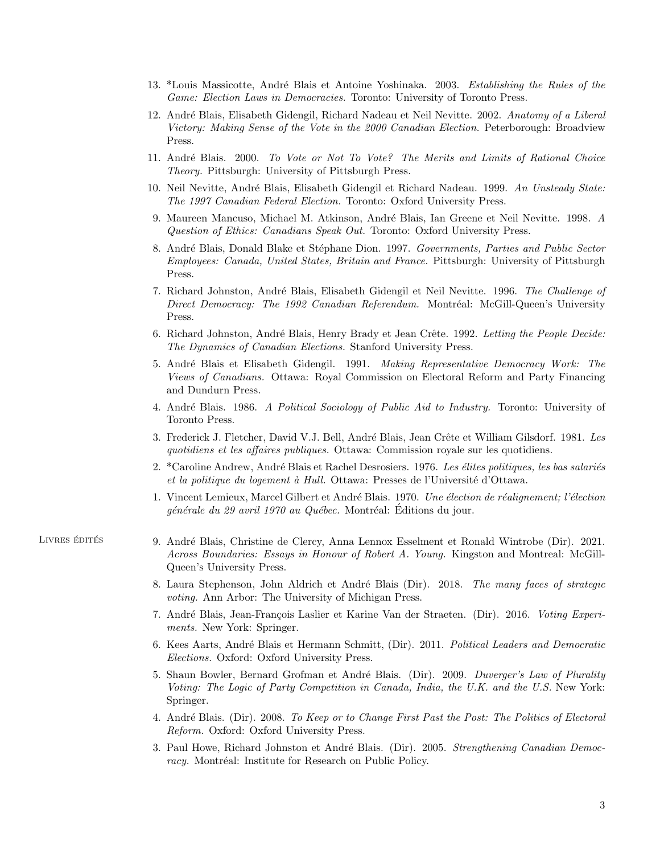- 13. \*Louis Massicotte, André Blais et Antoine Yoshinaka. 2003. Establishing the Rules of the Game: Election Laws in Democracies. Toronto: University of Toronto Press.
- 12. André Blais, Elisabeth Gidengil, Richard Nadeau et Neil Nevitte. 2002. Anatomy of a Liberal Victory: Making Sense of the Vote in the 2000 Canadian Election. Peterborough: Broadview Press.
- 11. André Blais. 2000. To Vote or Not To Vote? The Merits and Limits of Rational Choice Theory. Pittsburgh: University of Pittsburgh Press.
- 10. Neil Nevitte, André Blais, Elisabeth Gidengil et Richard Nadeau. 1999. An Unsteady State: The 1997 Canadian Federal Election. Toronto: Oxford University Press.
- 9. Maureen Mancuso, Michael M. Atkinson, André Blais, Ian Greene et Neil Nevitte. 1998. A Question of Ethics: Canadians Speak Out. Toronto: Oxford University Press.
- 8. André Blais, Donald Blake et Stéphane Dion. 1997. Governments, Parties and Public Sector Employees: Canada, United States, Britain and France. Pittsburgh: University of Pittsburgh Press.
- 7. Richard Johnston, André Blais, Elisabeth Gidengil et Neil Nevitte. 1996. The Challenge of Direct Democracy: The 1992 Canadian Referendum. Montréal: McGill-Queen's University Press.
- 6. Richard Johnston, André Blais, Henry Brady et Jean Crête. 1992. Letting the People Decide: The Dynamics of Canadian Elections. Stanford University Press.
- 5. André Blais et Elisabeth Gidengil. 1991. Making Representative Democracy Work: The Views of Canadians. Ottawa: Royal Commission on Electoral Reform and Party Financing and Dundurn Press.
- 4. André Blais. 1986. A Political Sociology of Public Aid to Industry. Toronto: University of Toronto Press.
- 3. Frederick J. Fletcher, David V.J. Bell, André Blais, Jean Crête et William Gilsdorf. 1981. Les quotidiens et les affaires publiques. Ottawa: Commission royale sur les quotidiens.
- 2. \*Caroline Andrew, André Blais et Rachel Desrosiers. 1976. Les élites politiques, les bas salariés et la politique du logement à Hull. Ottawa: Presses de l'Université d'Ottawa.
- 1. Vincent Lemieux, Marcel Gilbert et André Blais. 1970. Une élection de réalignement; l'élection générale du 29 avril 1970 au Québec. Montréal: Éditions du jour.
- 
- LIVRES ÉDITÉS 9. André Blais, Christine de Clercy, Anna Lennox Esselment et Ronald Wintrobe (Dir). 2021. Across Boundaries: Essays in Honour of Robert A. Young. Kingston and Montreal: McGill-Queen's University Press.
	- 8. Laura Stephenson, John Aldrich et André Blais (Dir). 2018. The many faces of strategic voting. Ann Arbor: The University of Michigan Press.
	- 7. André Blais, Jean-François Laslier et Karine Van der Straeten. (Dir). 2016. Voting Experiments. New York: Springer.
	- 6. Kees Aarts, André Blais et Hermann Schmitt, (Dir). 2011. Political Leaders and Democratic Elections. Oxford: Oxford University Press.
	- 5. Shaun Bowler, Bernard Grofman et André Blais. (Dir). 2009. Duverger's Law of Plurality Voting: The Logic of Party Competition in Canada, India, the U.K. and the U.S. New York: Springer.
	- 4. André Blais. (Dir). 2008. To Keep or to Change First Past the Post: The Politics of Electoral Reform. Oxford: Oxford University Press.
	- 3. Paul Howe, Richard Johnston et André Blais. (Dir). 2005. Strengthening Canadian Democracy. Montréal: Institute for Research on Public Policy.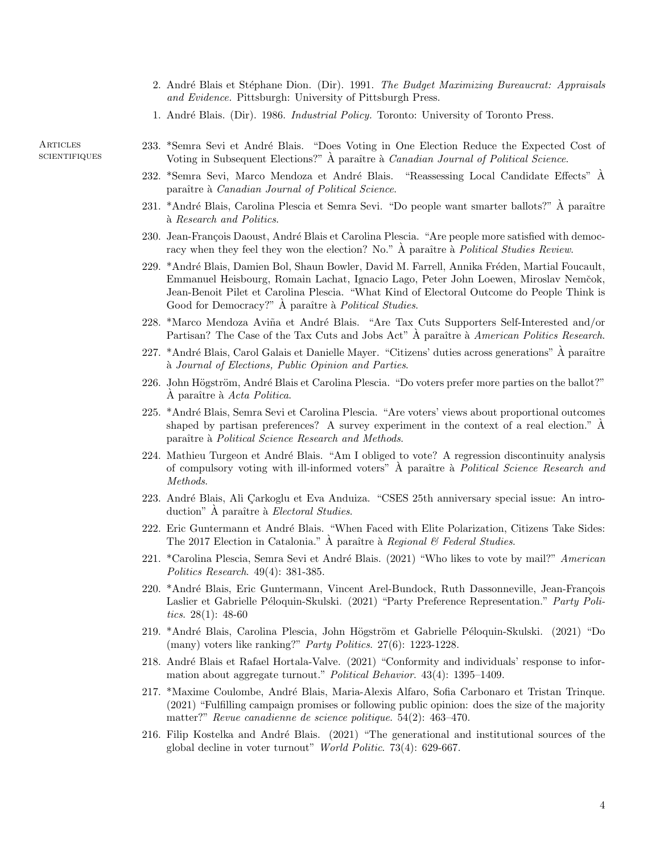- 2. André Blais et Stéphane Dion. (Dir). 1991. The Budget Maximizing Bureaucrat: Appraisals and Evidence. Pittsburgh: University of Pittsburgh Press.
- 1. André Blais. (Dir). 1986. *Industrial Policy*. Toronto: University of Toronto Press.

**ARTICLES SCIENTIFIQUES** 

- 233. \*Semra Sevi et André Blais. "Does Voting in One Election Reduce the Expected Cost of Voting in Subsequent Elections?"  $\AA$  paraître à *Canadian Journal of Political Science*.
- 232. \*Semra Sevi, Marco Mendoza et André Blais. "Reassessing Local Candidate Effects" À paraître à Canadian Journal of Political Science.
- 231. \*André Blais, Carolina Plescia et Semra Sevi. "Do people want smarter ballots?" À paraître  $\alpha$  Research and Politics.
- 230. Jean-François Daoust, André Blais et Carolina Plescia. "Are people more satisfied with democracy when they feel they won the election? No."  $\AA$  paraître à *Political Studies Review.*
- 229. \*André Blais, Damien Bol, Shaun Bowler, David M. Farrell, Annika Fréden, Martial Foucault, Emmanuel Heisbourg, Romain Lachat, Ignacio Lago, Peter John Loewen, Miroslav Nemˇcok, Jean-Benoit Pilet et Carolina Plescia. "What Kind of Electoral Outcome do People Think is Good for Democracy?" À paraître à *Political Studies*.
- 228. \*Marco Mendoza Aviña et André Blais. "Are Tax Cuts Supporters Self-Interested and/or Partisan? The Case of the Tax Cuts and Jobs Act" A paraître à *American Politics Research*.
- 227. \*André Blais, Carol Galais et Danielle Mayer. "Citizens' duties across generations"  $\hat{A}$  paraître  $\alpha$  Journal of Elections, Public Opinion and Parties.
- 226. John Högström, André Blais et Carolina Plescia. "Do voters prefer more parties on the ballot?"  $\Lambda$  paraître à  $Acta$  Politica.
- 225. \*Andr´e Blais, Semra Sevi et Carolina Plescia. "Are voters' views about proportional outcomes shaped by partisan preferences? A survey experiment in the context of a real election."  $\dot{A}$ paraître à Political Science Research and Methods.
- 224. Mathieu Turgeon et André Blais. "Am I obliged to vote? A regression discontinuity analysis of compulsory voting with ill-informed voters" A paraître à Political Science Research and Methods.
- 223. André Blais, Ali Çarkoglu et Eva Anduiza. "CSES 25th anniversary special issue: An introduction" A paraître à *Electoral Studies*.
- 222. Eric Guntermann et André Blais. "When Faced with Elite Polarization, Citizens Take Sides: The 2017 Election in Catalonia." A paraître à Regional & Federal Studies.
- 221. \*Carolina Plescia, Semra Sevi et André Blais. (2021) "Who likes to vote by mail?" American Politics Research. 49(4): 381-385.
- 220. \*André Blais, Eric Guntermann, Vincent Arel-Bundock, Ruth Dassonneville, Jean-François Laslier et Gabrielle Péloquin-Skulski. (2021) "Party Preference Representation." Party Politics.  $28(1)$ :  $48-60$
- 219. \*André Blais, Carolina Plescia, John Högström et Gabrielle Péloquin-Skulski. (2021) "Do (many) voters like ranking?" *Party Politics.* 27(6): 1223-1228.
- 218. André Blais et Rafael Hortala-Valve. (2021) "Conformity and individuals' response to information about aggregate turnout." Political Behavior. 43(4): 1395–1409.
- 217. \*Maxime Coulombe, Andr´e Blais, Maria-Alexis Alfaro, Sofia Carbonaro et Tristan Trinque. (2021) "Fulfilling campaign promises or following public opinion: does the size of the majority matter?" Revue canadienne de science politique. 54(2): 463–470.
- 216. Filip Kostelka and André Blais. (2021) "The generational and institutional sources of the global decline in voter turnout" World Politic. 73(4): 629-667.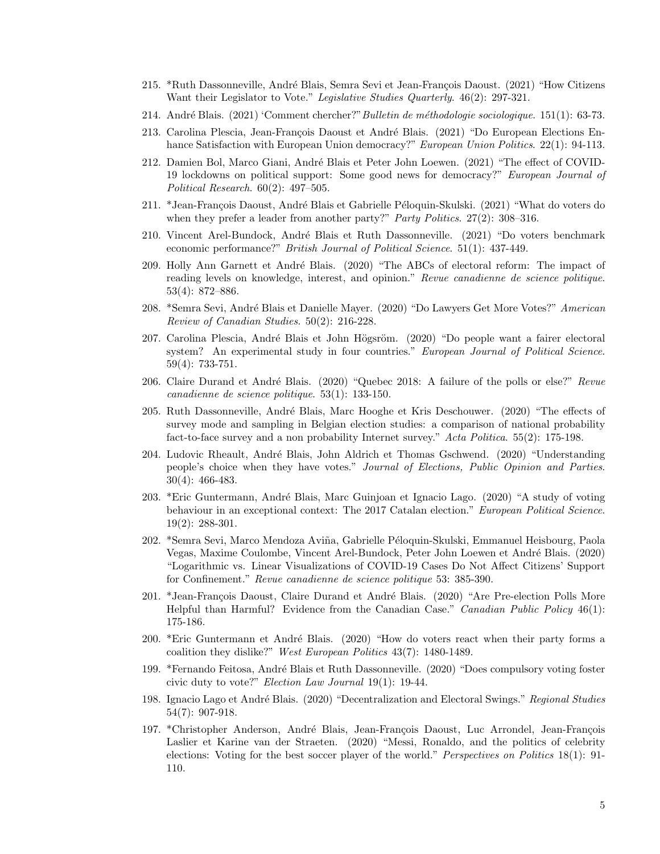- 215. \*Ruth Dassonneville, André Blais, Semra Sevi et Jean-François Daoust. (2021) "How Citizens Want their Legislator to Vote." Legislative Studies Quarterly. 46(2): 297-321.
- 214. André Blais. (2021) 'Comment chercher?" Bulletin de méthodologie sociologique. 151(1): 63-73.
- 213. Carolina Plescia, Jean-François Daoust et André Blais. (2021) "Do European Elections Enhance Satisfaction with European Union democracy?" European Union Politics. 22(1): 94-113.
- 212. Damien Bol, Marco Giani, André Blais et Peter John Loewen. (2021) "The effect of COVID-19 lockdowns on political support: Some good news for democracy?" European Journal of Political Research. 60(2): 497–505.
- 211. \*Jean-François Daoust, André Blais et Gabrielle Péloquin-Skulski. (2021) "What do voters do when they prefer a leader from another party?" Party Politics. 27(2): 308-316.
- 210. Vincent Arel-Bundock, Andr´e Blais et Ruth Dassonneville. (2021) "Do voters benchmark economic performance?" British Journal of Political Science. 51(1): 437-449.
- 209. Holly Ann Garnett et André Blais. (2020) "The ABCs of electoral reform: The impact of reading levels on knowledge, interest, and opinion." Revue canadienne de science politique. 53(4): 872–886.
- 208. \*Semra Sevi, André Blais et Danielle Mayer. (2020) "Do Lawyers Get More Votes?" American Review of Canadian Studies. 50(2): 216-228.
- 207. Carolina Plescia, André Blais et John Högsröm. (2020) "Do people want a fairer electoral system? An experimental study in four countries." European Journal of Political Science. 59(4): 733-751.
- 206. Claire Durand et André Blais. (2020) "Quebec 2018: A failure of the polls or else?" Revue canadienne de science politique. 53(1): 133-150.
- 205. Ruth Dassonneville, André Blais, Marc Hooghe et Kris Deschouwer. (2020) "The effects of survey mode and sampling in Belgian election studies: a comparison of national probability fact-to-face survey and a non probability Internet survey." Acta Politica. 55(2): 175-198.
- 204. Ludovic Rheault, André Blais, John Aldrich et Thomas Gschwend. (2020) "Understanding people's choice when they have votes." Journal of Elections, Public Opinion and Parties. 30(4): 466-483.
- 203. \*Eric Guntermann, Andr´e Blais, Marc Guinjoan et Ignacio Lago. (2020) "A study of voting behaviour in an exceptional context: The 2017 Catalan election." European Political Science. 19(2): 288-301.
- 202. \*Semra Sevi, Marco Mendoza Aviña, Gabrielle Péloquin-Skulski, Emmanuel Heisbourg, Paola Vegas, Maxime Coulombe, Vincent Arel-Bundock, Peter John Loewen et André Blais. (2020) "Logarithmic vs. Linear Visualizations of COVID-19 Cases Do Not Affect Citizens' Support for Confinement." Revue canadienne de science politique 53: 385-390.
- 201. \*Jean-François Daoust, Claire Durand et André Blais. (2020) "Are Pre-election Polls More Helpful than Harmful? Evidence from the Canadian Case." Canadian Public Policy 46(1): 175-186.
- 200. \*Eric Guntermann et André Blais. (2020) "How do voters react when their party forms a coalition they dislike?" West European Politics 43(7): 1480-1489.
- 199. \*Fernando Feitosa, André Blais et Ruth Dassonneville. (2020) "Does compulsory voting foster civic duty to vote?" Election Law Journal 19(1): 19-44.
- 198. Ignacio Lago et André Blais. (2020) "Decentralization and Electoral Swings." Regional Studies 54(7): 907-918.
- 197. \*Christopher Anderson, André Blais, Jean-François Daoust, Luc Arrondel, Jean-François Laslier et Karine van der Straeten. (2020) "Messi, Ronaldo, and the politics of celebrity elections: Voting for the best soccer player of the world." *Perspectives on Politics* 18(1): 91-110.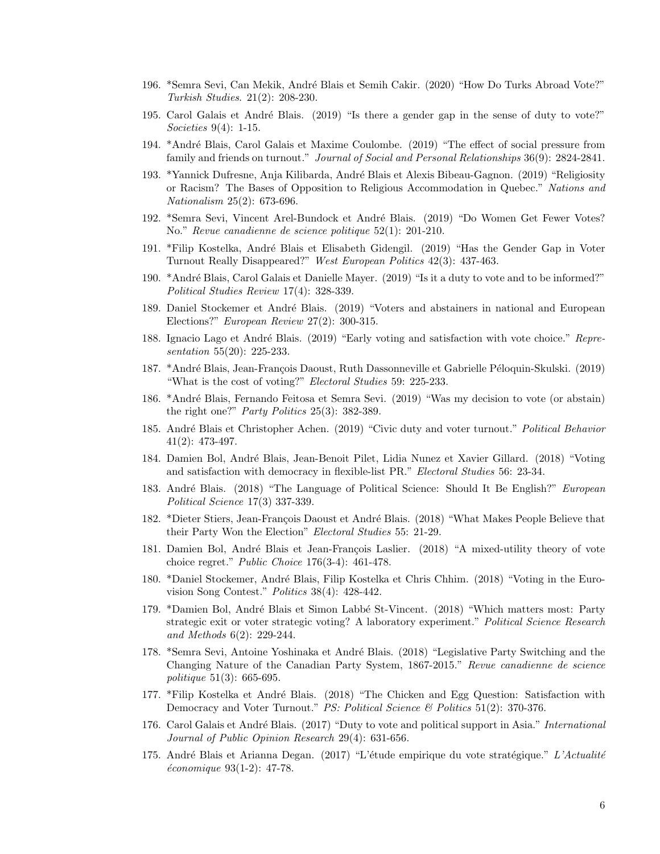- 196. \*Semra Sevi, Can Mekik, Andr´e Blais et Semih Cakir. (2020) "How Do Turks Abroad Vote?" Turkish Studies. 21(2): 208-230.
- 195. Carol Galais et André Blais. (2019) "Is there a gender gap in the sense of duty to vote?" Societies 9(4): 1-15.
- 194. \*André Blais, Carol Galais et Maxime Coulombe. (2019) "The effect of social pressure from family and friends on turnout." *Journal of Social and Personal Relationships* 36(9): 2824-2841.
- 193. \*Yannick Dufresne, Anja Kilibarda, André Blais et Alexis Bibeau-Gagnon. (2019) "Religiosity or Racism? The Bases of Opposition to Religious Accommodation in Quebec." Nations and Nationalism 25(2): 673-696.
- 192. \*Semra Sevi, Vincent Arel-Bundock et André Blais. (2019) "Do Women Get Fewer Votes? No." Revue canadienne de science politique 52(1): 201-210.
- 191. \*Filip Kostelka, André Blais et Elisabeth Gidengil. (2019) "Has the Gender Gap in Voter Turnout Really Disappeared?" West European Politics 42(3): 437-463.
- 190. \*Andr´e Blais, Carol Galais et Danielle Mayer. (2019) "Is it a duty to vote and to be informed?" Political Studies Review 17(4): 328-339.
- 189. Daniel Stockemer et André Blais. (2019) "Voters and abstainers in national and European Elections?" European Review 27(2): 300-315.
- 188. Ignacio Lago et André Blais. (2019) "Early voting and satisfaction with vote choice." Representation 55(20): 225-233.
- 187. \*André Blais, Jean-François Daoust, Ruth Dassonneville et Gabrielle Péloquin-Skulski. (2019) "What is the cost of voting?" Electoral Studies 59: 225-233.
- 186. \*Andr´e Blais, Fernando Feitosa et Semra Sevi. (2019) "Was my decision to vote (or abstain) the right one?" Party Politics 25(3): 382-389.
- 185. André Blais et Christopher Achen. (2019) "Civic duty and voter turnout." Political Behavior 41(2): 473-497.
- 184. Damien Bol, Andr´e Blais, Jean-Benoit Pilet, Lidia Nunez et Xavier Gillard. (2018) "Voting and satisfaction with democracy in flexible-list PR." Electoral Studies 56: 23-34.
- 183. André Blais. (2018) "The Language of Political Science: Should It Be English?" European Political Science 17(3) 337-339.
- 182. \*Dieter Stiers, Jean-François Daoust et André Blais. (2018) "What Makes People Believe that their Party Won the Election" Electoral Studies 55: 21-29.
- 181. Damien Bol, André Blais et Jean-François Laslier. (2018) "A mixed-utility theory of vote choice regret." Public Choice 176(3-4): 461-478.
- 180. \*Daniel Stockemer, Andr´e Blais, Filip Kostelka et Chris Chhim. (2018) "Voting in the Eurovision Song Contest." Politics 38(4): 428-442.
- 179. \*Damien Bol, André Blais et Simon Labbé St-Vincent. (2018) "Which matters most: Party strategic exit or voter strategic voting? A laboratory experiment." Political Science Research and Methods 6(2): 229-244.
- 178. \*Semra Sevi, Antoine Yoshinaka et André Blais. (2018) "Legislative Party Switching and the Changing Nature of the Canadian Party System, 1867-2015." Revue canadienne de science politique 51(3): 665-695.
- 177. \*Filip Kostelka et André Blais. (2018) "The Chicken and Egg Question: Satisfaction with Democracy and Voter Turnout." *PS: Political Science*  $\mathcal{C}$  *Politics* 51(2): 370-376.
- 176. Carol Galais et André Blais. (2017) "Duty to vote and political support in Asia." International Journal of Public Opinion Research 29(4): 631-656.
- 175. André Blais et Arianna Degan. (2017) "L'étude empirique du vote stratégique." L'Actualité  $économique 93(1-2): 47-78.$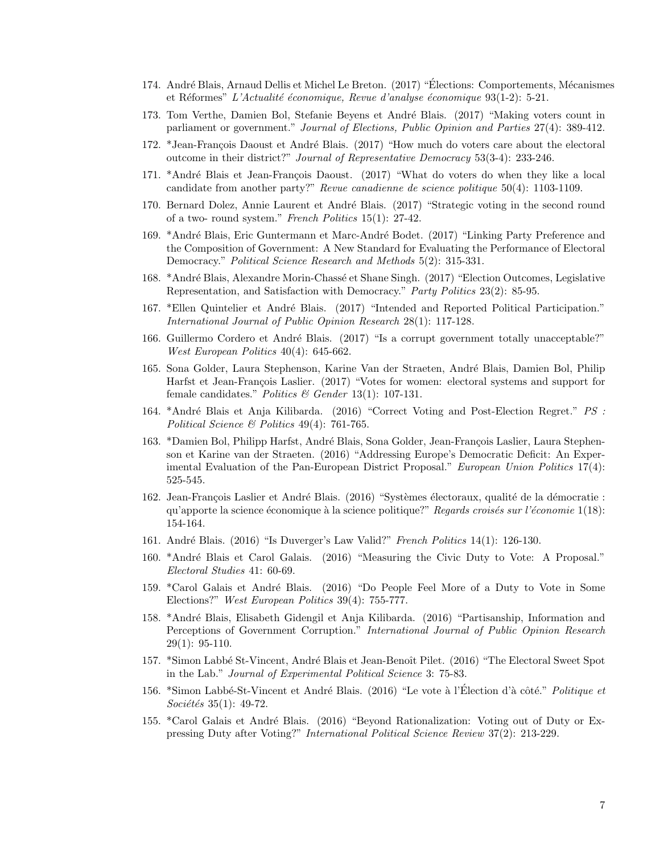- 174. André Blais, Arnaud Dellis et Michel Le Breton. (2017) "Élections: Comportements, Mécanismes et Réformes" L'Actualité économique, Revue d'analyse économique  $93(1-2)$ : 5-21.
- 173. Tom Verthe, Damien Bol, Stefanie Beyens et André Blais. (2017) "Making voters count in parliament or government." Journal of Elections, Public Opinion and Parties 27(4): 389-412.
- 172. \*Jean-François Daoust et André Blais. (2017) "How much do voters care about the electoral outcome in their district?" Journal of Representative Democracy 53(3-4): 233-246.
- 171. \*André Blais et Jean-François Daoust. (2017) "What do voters do when they like a local candidate from another party?" Revue canadienne de science politique 50(4): 1103-1109.
- 170. Bernard Dolez, Annie Laurent et André Blais. (2017) "Strategic voting in the second round of a two- round system." French Politics 15(1): 27-42.
- 169. \*André Blais, Eric Guntermann et Marc-André Bodet. (2017) "Linking Party Preference and the Composition of Government: A New Standard for Evaluating the Performance of Electoral Democracy." Political Science Research and Methods 5(2): 315-331.
- 168. \*André Blais, Alexandre Morin-Chassé et Shane Singh. (2017) "Election Outcomes, Legislative Representation, and Satisfaction with Democracy." Party Politics 23(2): 85-95.
- 167. \*Ellen Quintelier et André Blais. (2017) "Intended and Reported Political Participation." International Journal of Public Opinion Research 28(1): 117-128.
- 166. Guillermo Cordero et André Blais. (2017) "Is a corrupt government totally unacceptable?" West European Politics 40(4): 645-662.
- 165. Sona Golder, Laura Stephenson, Karine Van der Straeten, André Blais, Damien Bol, Philip Harfst et Jean-François Laslier. (2017) "Votes for women: electoral systems and support for female candidates." Politics & Gender 13(1): 107-131.
- 164. \*André Blais et Anja Kilibarda. (2016) "Correct Voting and Post-Election Regret." PS : Political Science & Politics 49(4): 761-765.
- 163. \*Damien Bol, Philipp Harfst, André Blais, Sona Golder, Jean-François Laslier, Laura Stephenson et Karine van der Straeten. (2016) "Addressing Europe's Democratic Deficit: An Experimental Evaluation of the Pan-European District Proposal." European Union Politics 17(4): 525-545.
- 162. Jean-François Laslier et André Blais. (2016) "Systèmes électoraux, qualité de la démocratie : qu'apporte la science économique à la science politique?" Regards croisés sur l'économie  $1(18)$ : 154-164.
- 161. André Blais. (2016) "Is Duverger's Law Valid?" French Politics 14(1): 126-130.
- 160. \*Andr´e Blais et Carol Galais. (2016) "Measuring the Civic Duty to Vote: A Proposal." Electoral Studies 41: 60-69.
- 159. \*Carol Galais et André Blais. (2016) "Do People Feel More of a Duty to Vote in Some Elections?" West European Politics 39(4): 755-777.
- 158. \*Andr´e Blais, Elisabeth Gidengil et Anja Kilibarda. (2016) "Partisanship, Information and Perceptions of Government Corruption." International Journal of Public Opinion Research  $29(1): 95-110.$
- 157. \*Simon Labbé St-Vincent, André Blais et Jean-Benoît Pilet. (2016) "The Electoral Sweet Spot in the Lab." Journal of Experimental Political Science 3: 75-83.
- 156. \*Simon Labbé-St-Vincent et André Blais. (2016) "Le vote à l'Élection d'à côté." *Politique et*  $Sociét\acute{e}s 35(1): 49-72.$
- 155. \*Carol Galais et André Blais. (2016) "Beyond Rationalization: Voting out of Duty or Expressing Duty after Voting?" International Political Science Review 37(2): 213-229.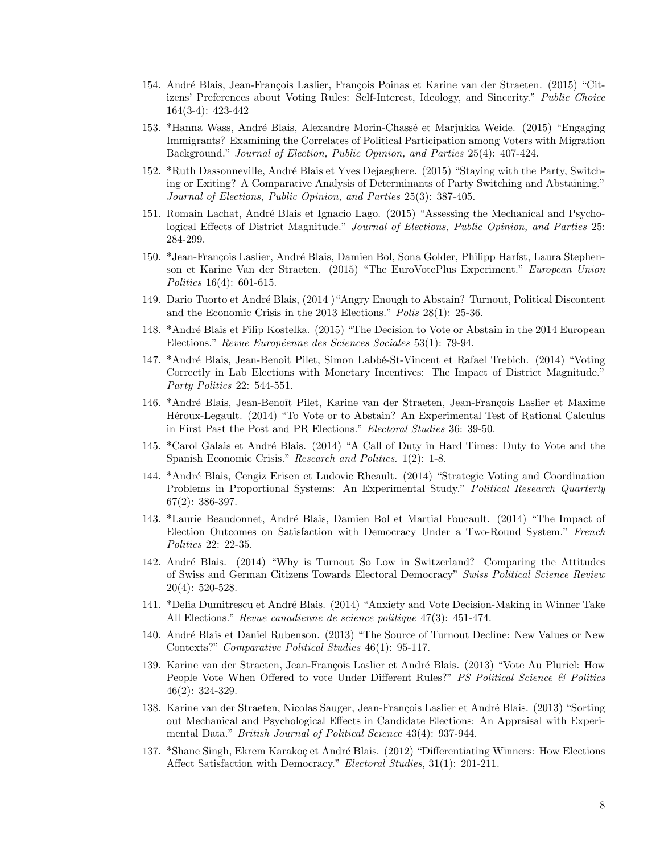- 154. André Blais, Jean-François Laslier, François Poinas et Karine van der Straeten. (2015) "Citizens' Preferences about Voting Rules: Self-Interest, Ideology, and Sincerity." Public Choice 164(3-4): 423-442
- 153. \*Hanna Wass, André Blais, Alexandre Morin-Chassé et Marjukka Weide. (2015) "Engaging Immigrants? Examining the Correlates of Political Participation among Voters with Migration Background." Journal of Election, Public Opinion, and Parties 25(4): 407-424.
- 152. \*Ruth Dassonneville, André Blais et Yves Dejaeghere. (2015) "Staying with the Party, Switching or Exiting? A Comparative Analysis of Determinants of Party Switching and Abstaining." Journal of Elections, Public Opinion, and Parties 25(3): 387-405.
- 151. Romain Lachat, André Blais et Ignacio Lago. (2015) "Assessing the Mechanical and Psychological Effects of District Magnitude." Journal of Elections, Public Opinion, and Parties 25: 284-299.
- 150. \*Jean-François Laslier, André Blais, Damien Bol, Sona Golder, Philipp Harfst, Laura Stephenson et Karine Van der Straeten. (2015) "The EuroVotePlus Experiment." European Union Politics 16(4): 601-615.
- 149. Dario Tuorto et André Blais, (2014) "Angry Enough to Abstain? Turnout, Political Discontent and the Economic Crisis in the 2013 Elections." Polis 28(1): 25-36.
- 148. \*Andr´e Blais et Filip Kostelka. (2015) "The Decision to Vote or Abstain in the 2014 European Elections." Revue Européenne des Sciences Sociales 53(1): 79-94.
- 147. \*André Blais, Jean-Benoit Pilet, Simon Labbé-St-Vincent et Rafael Trebich. (2014) "Voting Correctly in Lab Elections with Monetary Incentives: The Impact of District Magnitude." Party Politics 22: 544-551.
- 146. \*André Blais, Jean-Benoît Pilet, Karine van der Straeten, Jean-François Laslier et Maxime Héroux-Legault. (2014) "To Vote or to Abstain? An Experimental Test of Rational Calculus in First Past the Post and PR Elections." Electoral Studies 36: 39-50.
- 145. \*Carol Galais et André Blais. (2014) "A Call of Duty in Hard Times: Duty to Vote and the Spanish Economic Crisis." Research and Politics. 1(2): 1-8.
- 144. \*Andr´e Blais, Cengiz Erisen et Ludovic Rheault. (2014) "Strategic Voting and Coordination Problems in Proportional Systems: An Experimental Study." Political Research Quarterly 67(2): 386-397.
- 143. \*Laurie Beaudonnet, André Blais, Damien Bol et Martial Foucault. (2014) "The Impact of Election Outcomes on Satisfaction with Democracy Under a Two-Round System." French Politics 22: 22-35.
- 142. André Blais. (2014) "Why is Turnout So Low in Switzerland? Comparing the Attitudes of Swiss and German Citizens Towards Electoral Democracy" Swiss Political Science Review 20(4): 520-528.
- 141. \*Delia Dumitrescu et André Blais. (2014) "Anxiety and Vote Decision-Making in Winner Take All Elections." Revue canadienne de science politique 47(3): 451-474.
- 140. André Blais et Daniel Rubenson. (2013) "The Source of Turnout Decline: New Values or New Contexts?" Comparative Political Studies 46(1): 95-117.
- 139. Karine van der Straeten, Jean-François Laslier et André Blais. (2013) "Vote Au Pluriel: How People Vote When Offered to vote Under Different Rules?" PS Political Science & Politics 46(2): 324-329.
- 138. Karine van der Straeten, Nicolas Sauger, Jean-François Laslier et André Blais. (2013) "Sorting out Mechanical and Psychological Effects in Candidate Elections: An Appraisal with Experimental Data." *British Journal of Political Science* 43(4): 937-944.
- 137. \*Shane Singh, Ekrem Karakoç et André Blais. (2012) "Differentiating Winners: How Elections Affect Satisfaction with Democracy." Electoral Studies, 31(1): 201-211.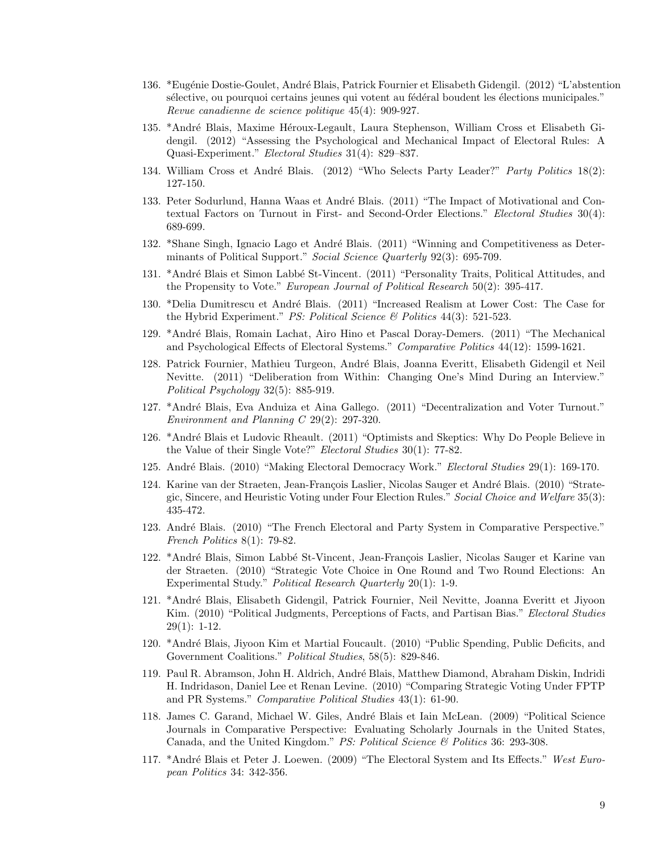- 136. \*Eugénie Dostie-Goulet, André Blais, Patrick Fournier et Elisabeth Gidengil. (2012) "L'abstention sélective, ou pourquoi certains jeunes qui votent au fédéral boudent les élections municipales." Revue canadienne de science politique 45(4): 909-927.
- 135. \*André Blais, Maxime Héroux-Legault, Laura Stephenson, William Cross et Elisabeth Gidengil. (2012) "Assessing the Psychological and Mechanical Impact of Electoral Rules: A Quasi-Experiment." Electoral Studies 31(4): 829–837.
- 134. William Cross et André Blais. (2012) "Who Selects Party Leader?" Party Politics 18(2): 127-150.
- 133. Peter Sodurlund, Hanna Waas et André Blais. (2011) "The Impact of Motivational and Contextual Factors on Turnout in First- and Second-Order Elections." Electoral Studies 30(4): 689-699.
- 132. \*Shane Singh, Ignacio Lago et André Blais. (2011) "Winning and Competitiveness as Determinants of Political Support." Social Science Quarterly 92(3): 695-709.
- 131. \*Andr´e Blais et Simon Labb´e St-Vincent. (2011) "Personality Traits, Political Attitudes, and the Propensity to Vote." European Journal of Political Research 50(2): 395-417.
- 130. \*Delia Dumitrescu et André Blais. (2011) "Increased Realism at Lower Cost: The Case for the Hybrid Experiment." PS: Political Science  $\mathcal{B}$  Politics 44(3): 521-523.
- 129. \*Andr´e Blais, Romain Lachat, Airo Hino et Pascal Doray-Demers. (2011) "The Mechanical and Psychological Effects of Electoral Systems." Comparative Politics 44(12): 1599-1621.
- 128. Patrick Fournier, Mathieu Turgeon, André Blais, Joanna Everitt, Elisabeth Gidengil et Neil Nevitte. (2011) "Deliberation from Within: Changing One's Mind During an Interview." Political Psychology 32(5): 885-919.
- 127. \*Andr´e Blais, Eva Anduiza et Aina Gallego. (2011) "Decentralization and Voter Turnout." Environment and Planning C 29(2): 297-320.
- 126. \*André Blais et Ludovic Rheault. (2011) "Optimists and Skeptics: Why Do People Believe in the Value of their Single Vote?" Electoral Studies 30(1): 77-82.
- 125. André Blais. (2010) "Making Electoral Democracy Work." Electoral Studies 29(1): 169-170.
- 124. Karine van der Straeten, Jean-François Laslier, Nicolas Sauger et André Blais. (2010) "Strategic, Sincere, and Heuristic Voting under Four Election Rules." Social Choice and Welfare 35(3): 435-472.
- 123. André Blais. (2010) "The French Electoral and Party System in Comparative Perspective." French Politics 8(1): 79-82.
- 122. \*André Blais, Simon Labbé St-Vincent, Jean-François Laslier, Nicolas Sauger et Karine van der Straeten. (2010) "Strategic Vote Choice in One Round and Two Round Elections: An Experimental Study." Political Research Quarterly 20(1): 1-9.
- 121. \*Andr´e Blais, Elisabeth Gidengil, Patrick Fournier, Neil Nevitte, Joanna Everitt et Jiyoon Kim. (2010) "Political Judgments, Perceptions of Facts, and Partisan Bias." *Electoral Studies*  $29(1): 1-12.$
- 120. \*Andr´e Blais, Jiyoon Kim et Martial Foucault. (2010) "Public Spending, Public Deficits, and Government Coalitions." Political Studies, 58(5): 829-846.
- 119. Paul R. Abramson, John H. Aldrich, Andr´e Blais, Matthew Diamond, Abraham Diskin, Indridi H. Indridason, Daniel Lee et Renan Levine. (2010) "Comparing Strategic Voting Under FPTP and PR Systems." Comparative Political Studies 43(1): 61-90.
- 118. James C. Garand, Michael W. Giles, André Blais et Iain McLean. (2009) "Political Science Journals in Comparative Perspective: Evaluating Scholarly Journals in the United States, Canada, and the United Kingdom." PS: Political Science & Politics 36: 293-308.
- 117. \*André Blais et Peter J. Loewen. (2009) "The Electoral System and Its Effects." West European Politics 34: 342-356.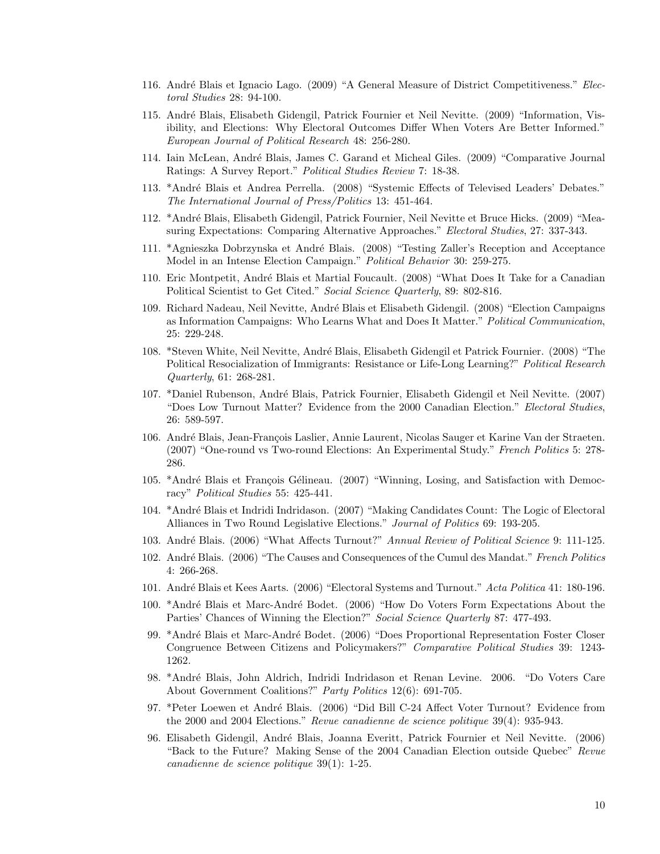- 116. André Blais et Ignacio Lago. (2009) "A General Measure of District Competitiveness." Electoral Studies 28: 94-100.
- 115. André Blais, Elisabeth Gidengil, Patrick Fournier et Neil Nevitte. (2009) "Information, Visibility, and Elections: Why Electoral Outcomes Differ When Voters Are Better Informed." European Journal of Political Research 48: 256-280.
- 114. Iain McLean, Andr´e Blais, James C. Garand et Micheal Giles. (2009) "Comparative Journal Ratings: A Survey Report." Political Studies Review 7: 18-38.
- 113. \*André Blais et Andrea Perrella. (2008) "Systemic Effects of Televised Leaders' Debates." The International Journal of Press/Politics 13: 451-464.
- 112. \*Andr´e Blais, Elisabeth Gidengil, Patrick Fournier, Neil Nevitte et Bruce Hicks. (2009) "Measuring Expectations: Comparing Alternative Approaches." Electoral Studies, 27: 337-343.
- 111. \*Agnieszka Dobrzynska et André Blais. (2008) "Testing Zaller's Reception and Acceptance Model in an Intense Election Campaign." Political Behavior 30: 259-275.
- 110. Eric Montpetit, Andr´e Blais et Martial Foucault. (2008) "What Does It Take for a Canadian Political Scientist to Get Cited." Social Science Quarterly, 89: 802-816.
- 109. Richard Nadeau, Neil Nevitte, Andr´e Blais et Elisabeth Gidengil. (2008) "Election Campaigns as Information Campaigns: Who Learns What and Does It Matter." Political Communication, 25: 229-248.
- 108. \*Steven White, Neil Nevitte, André Blais, Elisabeth Gidengil et Patrick Fournier. (2008) "The Political Resocialization of Immigrants: Resistance or Life-Long Learning?" Political Research Quarterly, 61: 268-281.
- 107. \*Daniel Rubenson, Andr´e Blais, Patrick Fournier, Elisabeth Gidengil et Neil Nevitte. (2007) "Does Low Turnout Matter? Evidence from the 2000 Canadian Election." Electoral Studies, 26: 589-597.
- 106. André Blais, Jean-François Laslier, Annie Laurent, Nicolas Sauger et Karine Van der Straeten. (2007) "One-round vs Two-round Elections: An Experimental Study." French Politics 5: 278- 286.
- 105. \*André Blais et François Gélineau. (2007) "Winning, Losing, and Satisfaction with Democracy" Political Studies 55: 425-441.
- 104. \*André Blais et Indridi Indridason. (2007) "Making Candidates Count: The Logic of Electoral Alliances in Two Round Legislative Elections." Journal of Politics 69: 193-205.
- 103. André Blais. (2006) "What Affects Turnout?" Annual Review of Political Science 9: 111-125.
- 102. André Blais. (2006) "The Causes and Consequences of the Cumul des Mandat." French Politics 4: 266-268.
- 101. André Blais et Kees Aarts. (2006) "Electoral Systems and Turnout." Acta Politica 41: 180-196.
- 100. \*André Blais et Marc-André Bodet. (2006) "How Do Voters Form Expectations About the Parties' Chances of Winning the Election?" Social Science Quarterly 87: 477-493.
- 99. \*André Blais et Marc-André Bodet. (2006) "Does Proportional Representation Foster Closer Congruence Between Citizens and Policymakers?" Comparative Political Studies 39: 1243- 1262.
- 98. \*Andr´e Blais, John Aldrich, Indridi Indridason et Renan Levine. 2006. "Do Voters Care About Government Coalitions?" Party Politics 12(6): 691-705.
- 97. \*Peter Loewen et André Blais. (2006) "Did Bill C-24 Affect Voter Turnout? Evidence from the 2000 and 2004 Elections." Revue canadienne de science politique 39(4): 935-943.
- 96. Elisabeth Gidengil, André Blais, Joanna Everitt, Patrick Fournier et Neil Nevitte. (2006) "Back to the Future? Making Sense of the 2004 Canadian Election outside Quebec" Revue canadienne de science politique 39(1): 1-25.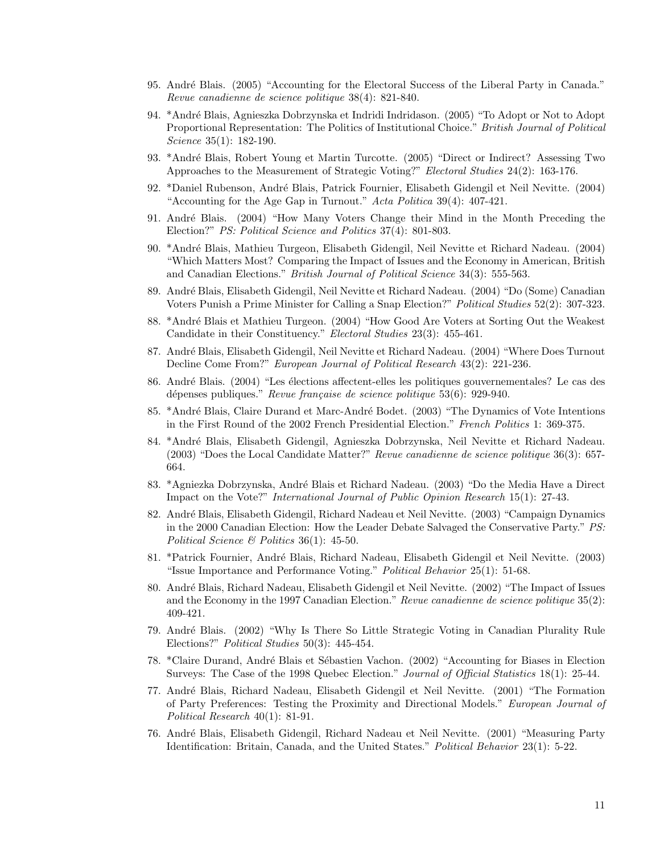- 95. André Blais. (2005) "Accounting for the Electoral Success of the Liberal Party in Canada." Revue canadienne de science politique 38(4): 821-840.
- 94. \*Andr´e Blais, Agnieszka Dobrzynska et Indridi Indridason. (2005) "To Adopt or Not to Adopt Proportional Representation: The Politics of Institutional Choice." British Journal of Political Science 35(1): 182-190.
- 93. \*André Blais, Robert Young et Martin Turcotte. (2005) "Direct or Indirect? Assessing Two Approaches to the Measurement of Strategic Voting?" Electoral Studies 24(2): 163-176.
- 92. \*Daniel Rubenson, André Blais, Patrick Fournier, Elisabeth Gidengil et Neil Nevitte. (2004) "Accounting for the Age Gap in Turnout." Acta Politica 39(4): 407-421.
- 91. André Blais. (2004) "How Many Voters Change their Mind in the Month Preceding the Election?" PS: Political Science and Politics 37(4): 801-803.
- 90. \*Andr´e Blais, Mathieu Turgeon, Elisabeth Gidengil, Neil Nevitte et Richard Nadeau. (2004) "Which Matters Most? Comparing the Impact of Issues and the Economy in American, British and Canadian Elections." British Journal of Political Science 34(3): 555-563.
- 89. Andr´e Blais, Elisabeth Gidengil, Neil Nevitte et Richard Nadeau. (2004) "Do (Some) Canadian Voters Punish a Prime Minister for Calling a Snap Election?" Political Studies 52(2): 307-323.
- 88. \*André Blais et Mathieu Turgeon. (2004) "How Good Are Voters at Sorting Out the Weakest" Candidate in their Constituency." Electoral Studies 23(3): 455-461.
- 87. André Blais, Elisabeth Gidengil, Neil Nevitte et Richard Nadeau. (2004) "Where Does Turnout Decline Come From?" European Journal of Political Research 43(2): 221-236.
- 86. André Blais. (2004) "Les élections affectent-elles les politiques gouvernementales? Le cas des dépenses publiques." Revue française de science politique  $53(6)$ : 929-940.
- 85. \*André Blais, Claire Durand et Marc-André Bodet. (2003) "The Dynamics of Vote Intentions in the First Round of the 2002 French Presidential Election." French Politics 1: 369-375.
- 84. \*Andr´e Blais, Elisabeth Gidengil, Agnieszka Dobrzynska, Neil Nevitte et Richard Nadeau. (2003) "Does the Local Candidate Matter?" Revue canadienne de science politique 36(3): 657- 664.
- 83. \*Agniezka Dobrzynska, André Blais et Richard Nadeau. (2003) "Do the Media Have a Direct Impact on the Vote?" International Journal of Public Opinion Research 15(1): 27-43.
- 82. André Blais, Elisabeth Gidengil, Richard Nadeau et Neil Nevitte. (2003) "Campaign Dynamics in the 2000 Canadian Election: How the Leader Debate Salvaged the Conservative Party." PS: Political Science & Politics  $36(1)$ : 45-50.
- 81. \*Patrick Fournier, Andr´e Blais, Richard Nadeau, Elisabeth Gidengil et Neil Nevitte. (2003) "Issue Importance and Performance Voting." Political Behavior 25(1): 51-68.
- 80. Andr´e Blais, Richard Nadeau, Elisabeth Gidengil et Neil Nevitte. (2002) "The Impact of Issues and the Economy in the 1997 Canadian Election." Revue canadienne de science politique 35(2): 409-421.
- 79. Andr´e Blais. (2002) "Why Is There So Little Strategic Voting in Canadian Plurality Rule Elections?" Political Studies 50(3): 445-454.
- 78. \*Claire Durand, André Blais et Sébastien Vachon. (2002) "Accounting for Biases in Election Surveys: The Case of the 1998 Quebec Election." Journal of Official Statistics 18(1): 25-44.
- 77. Andr´e Blais, Richard Nadeau, Elisabeth Gidengil et Neil Nevitte. (2001) "The Formation of Party Preferences: Testing the Proximity and Directional Models." European Journal of Political Research 40(1): 81-91.
- 76. Andr´e Blais, Elisabeth Gidengil, Richard Nadeau et Neil Nevitte. (2001) "Measuring Party Identification: Britain, Canada, and the United States." Political Behavior 23(1): 5-22.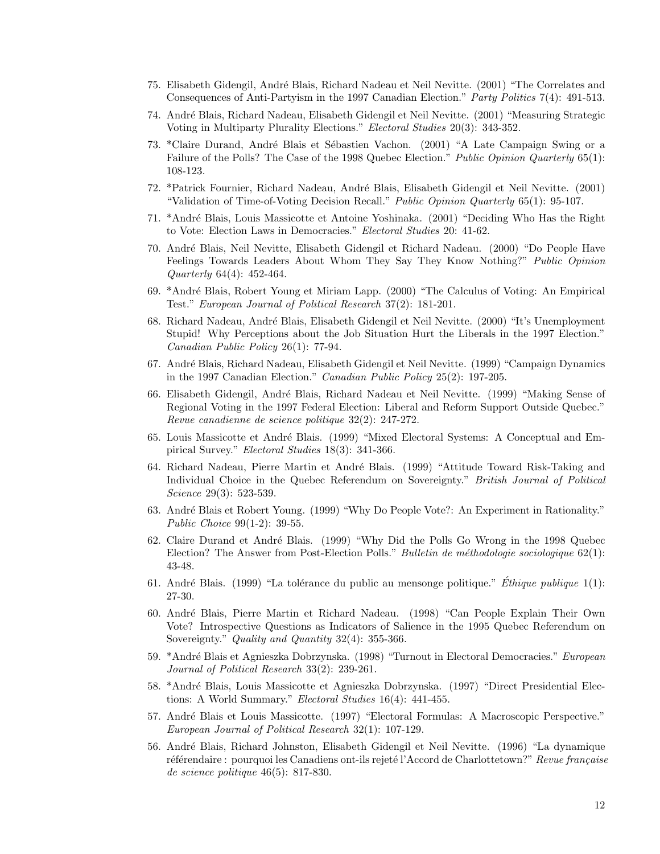- 75. Elisabeth Gidengil, Andr´e Blais, Richard Nadeau et Neil Nevitte. (2001) "The Correlates and Consequences of Anti-Partyism in the 1997 Canadian Election." Party Politics 7(4): 491-513.
- 74. Andr´e Blais, Richard Nadeau, Elisabeth Gidengil et Neil Nevitte. (2001) "Measuring Strategic Voting in Multiparty Plurality Elections." Electoral Studies 20(3): 343-352.
- 73. \*Claire Durand, André Blais et Sébastien Vachon. (2001) "A Late Campaign Swing or a Failure of the Polls? The Case of the 1998 Quebec Election." Public Opinion Quarterly 65(1): 108-123.
- 72. \*Patrick Fournier, Richard Nadeau, André Blais, Elisabeth Gidengil et Neil Nevitte. (2001) "Validation of Time-of-Voting Decision Recall." Public Opinion Quarterly 65(1): 95-107.
- 71. \*Andr´e Blais, Louis Massicotte et Antoine Yoshinaka. (2001) "Deciding Who Has the Right to Vote: Election Laws in Democracies." Electoral Studies 20: 41-62.
- 70. Andr´e Blais, Neil Nevitte, Elisabeth Gidengil et Richard Nadeau. (2000) "Do People Have Feelings Towards Leaders About Whom They Say They Know Nothing?" Public Opinion Quarterly 64(4): 452-464.
- 69. \*Andr´e Blais, Robert Young et Miriam Lapp. (2000) "The Calculus of Voting: An Empirical Test." European Journal of Political Research 37(2): 181-201.
- 68. Richard Nadeau, André Blais, Elisabeth Gidengil et Neil Nevitte. (2000) "It's Unemployment Stupid! Why Perceptions about the Job Situation Hurt the Liberals in the 1997 Election." Canadian Public Policy 26(1): 77-94.
- 67. Andr´e Blais, Richard Nadeau, Elisabeth Gidengil et Neil Nevitte. (1999) "Campaign Dynamics in the 1997 Canadian Election." Canadian Public Policy 25(2): 197-205.
- 66. Elisabeth Gidengil, André Blais, Richard Nadeau et Neil Nevitte. (1999) "Making Sense of Regional Voting in the 1997 Federal Election: Liberal and Reform Support Outside Quebec." Revue canadienne de science politique 32(2): 247-272.
- 65. Louis Massicotte et André Blais. (1999) "Mixed Electoral Systems: A Conceptual and Empirical Survey." Electoral Studies 18(3): 341-366.
- 64. Richard Nadeau, Pierre Martin et André Blais. (1999) "Attitude Toward Risk-Taking and Individual Choice in the Quebec Referendum on Sovereignty." British Journal of Political Science 29(3): 523-539.
- 63. André Blais et Robert Young. (1999) "Why Do People Vote?: An Experiment in Rationality." Public Choice 99(1-2): 39-55.
- 62. Claire Durand et André Blais. (1999) "Why Did the Polls Go Wrong in the 1998 Quebec Election? The Answer from Post-Election Polls." Bulletin de méthodologie sociologique  $62(1)$ : 43-48.
- 61. André Blais. (1999) "La tolérance du public au mensonge politique." Ethique publique  $1(1)$ : 27-30.
- 60. Andr´e Blais, Pierre Martin et Richard Nadeau. (1998) "Can People Explain Their Own Vote? Introspective Questions as Indicators of Salience in the 1995 Quebec Referendum on Sovereignty." Quality and Quantity 32(4): 355-366.
- 59. \*André Blais et Agnieszka Dobrzynska. (1998) "Turnout in Electoral Democracies." European Journal of Political Research 33(2): 239-261.
- 58. \*André Blais, Louis Massicotte et Agnieszka Dobrzynska. (1997) "Direct Presidential Elections: A World Summary." Electoral Studies 16(4): 441-455.
- 57. André Blais et Louis Massicotte. (1997) "Electoral Formulas: A Macroscopic Perspective." European Journal of Political Research 32(1): 107-129.
- 56. Andr´e Blais, Richard Johnston, Elisabeth Gidengil et Neil Nevitte. (1996) "La dynamique référendaire : pourquoi les Canadiens ont-ils rejeté l'Accord de Charlottetown?" Revue française de science politique 46(5): 817-830.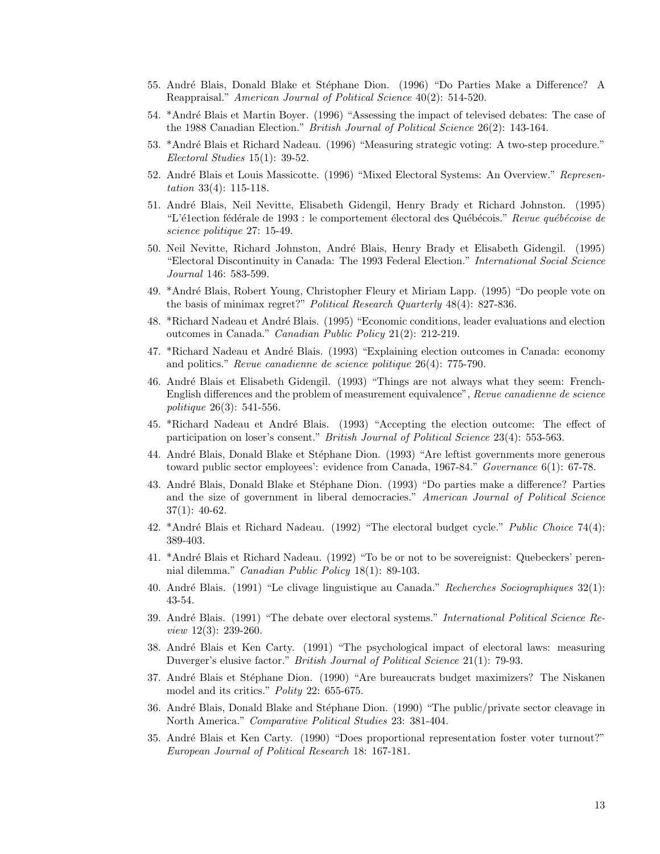- 55. André Blais, Donald Blake et Stéphane Dion. (1996) "Do Parties Make a Difference? A Reappraisal." American Journal of Political Science 40(2): 514-520.
- 54. \*Andr´e Blais et Martin Boyer. (1996) "Assessing the impact of televised debates: The case of the 1988 Canadian Election." British Journal of Political Science 26(2): 143-164.
- 53. \*André Blais et Richard Nadeau. (1996) "Measuring strategic voting: A two-step procedure." Electoral Studies 15(1): 39-52.
- 52. André Blais et Louis Massicotte. (1996) "Mixed Electoral Systems: An Overview." Representation 33(4): 115-118.
- 51. Andr´e Blais, Neil Nevitte, Elisabeth Gidengil, Henry Brady et Richard Johnston. (1995) "L'é1ection fédérale de 1993 : le comportement électoral des Québécois." Revue québécoise de science politique 27: 15-49.
- 50. Neil Nevitte, Richard Johnston, André Blais, Henry Brady et Elisabeth Gidengil. (1995) "Electoral Discontinuity in Canada: The 1993 Federal Election." International Social Science Journal 146: 583-599.
- 49. \*Andr´e Blais, Robert Young, Christopher Fleury et Miriam Lapp. (1995) "Do people vote on the basis of minimax regret?" Political Research Quarterly 48(4): 827-836.
- 48. \*Richard Nadeau et André Blais. (1995) "Economic conditions, leader evaluations and election outcomes in Canada." Canadian Public Policy 21(2): 212-219.
- 47. \*Richard Nadeau et André Blais. (1993) "Explaining election outcomes in Canada: economy and politics." Revue canadienne de science politique 26(4): 775-790.
- 46. André Blais et Elisabeth Gidengil. (1993) "Things are not always what they seem: French-English differences and the problem of measurement equivalence", Revue canadienne de science politique 26(3): 541-556.
- 45. \*Richard Nadeau et André Blais. (1993) "Accepting the election outcome: The effect of participation on loser's consent." British Journal of Political Science 23(4): 553-563.
- 44. André Blais, Donald Blake et Stéphane Dion. (1993) "Are leftist governments more generous toward public sector employees': evidence from Canada, 1967-84." Governance 6(1): 67-78.
- 43. André Blais, Donald Blake et Stéphane Dion. (1993) "Do parties make a difference? Parties and the size of government in liberal democracies." American Journal of Political Science 37(1): 40-62.
- 42. \*André Blais et Richard Nadeau. (1992) "The electoral budget cycle." Public Choice 74(4): 389-403.
- 41. \*Andr´e Blais et Richard Nadeau. (1992) "To be or not to be sovereignist: Quebeckers' perennial dilemma." Canadian Public Policy 18(1): 89-103.
- 40. Andr´e Blais. (1991) "Le clivage linguistique au Canada." Recherches Sociographiques 32(1): 43-54.
- 39. André Blais. (1991) "The debate over electoral systems." *International Political Science Re*view 12(3): 239-260.
- 38. Andr´e Blais et Ken Carty. (1991) "The psychological impact of electoral laws: measuring Duverger's elusive factor." British Journal of Political Science 21(1): 79-93.
- 37. André Blais et Stéphane Dion. (1990) "Are bureaucrats budget maximizers? The Niskanen model and its critics." *Polity* 22: 655-675.
- 36. André Blais, Donald Blake and Stéphane Dion. (1990) "The public/private sector cleavage in North America." Comparative Political Studies 23: 381-404.
- 35. Andr´e Blais et Ken Carty. (1990) "Does proportional representation foster voter turnout?" European Journal of Political Research 18: 167-181.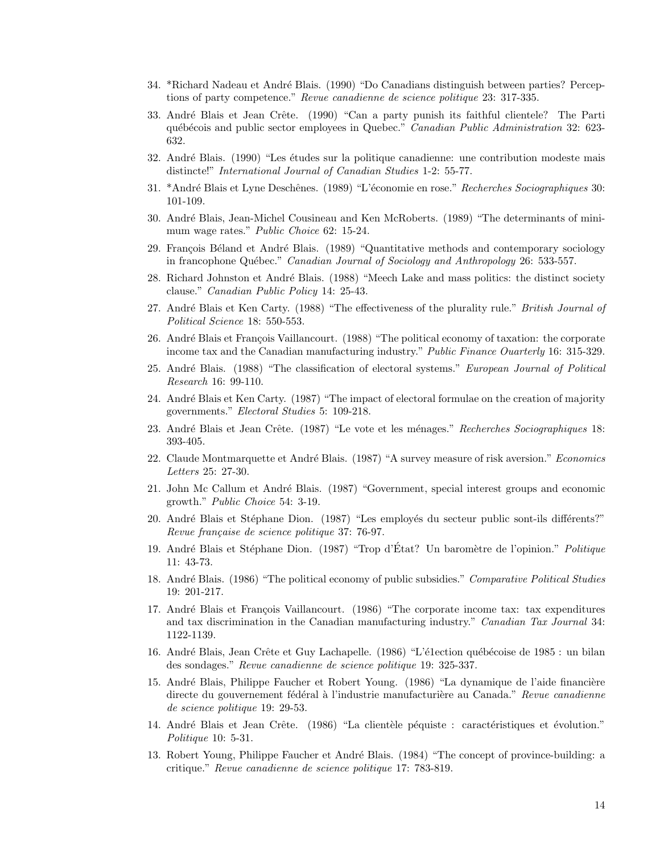- 34. \*Richard Nadeau et Andr´e Blais. (1990) "Do Canadians distinguish between parties? Perceptions of party competence." Revue canadienne de science politique 23: 317-335.
- 33. André Blais et Jean Crête. (1990) "Can a party punish its faithful clientele? The Parti québécois and public sector employees in Quebec." Canadian Public Administration 32: 623-632.
- 32. André Blais. (1990) "Les études sur la politique canadienne: une contribution modeste mais distincte!" International Journal of Canadian Studies 1-2: 55-77.
- 31. \*André Blais et Lyne Deschênes. (1989) "L'économie en rose." Recherches Sociographiques 30: 101-109.
- 30. Andr´e Blais, Jean-Michel Cousineau and Ken McRoberts. (1989) "The determinants of minimum wage rates." Public Choice 62: 15-24.
- 29. François Béland et André Blais. (1989) "Quantitative methods and contemporary sociology in francophone Québec." Canadian Journal of Sociology and Anthropology 26: 533-557.
- 28. Richard Johnston et André Blais. (1988) "Meech Lake and mass politics: the distinct society clause." Canadian Public Policy 14: 25-43.
- 27. André Blais et Ken Carty. (1988) "The effectiveness of the plurality rule." British Journal of Political Science 18: 550-553.
- 26. André Blais et François Vaillancourt. (1988) "The political economy of taxation: the corporate income tax and the Canadian manufacturing industry." Public Finance Ouarterly 16: 315-329.
- 25. André Blais. (1988) "The classification of electoral systems." European Journal of Political Research 16: 99-110.
- 24. André Blais et Ken Carty. (1987) "The impact of electoral formulae on the creation of majority governments." Electoral Studies 5: 109-218.
- 23. André Blais et Jean Crête. (1987) "Le vote et les ménages." Recherches Sociographiques 18: 393-405.
- 22. Claude Montmarquette et André Blais. (1987) "A survey measure of risk aversion." Economics Letters 25: 27-30.
- 21. John Mc Callum et André Blais. (1987) "Government, special interest groups and economic growth." Public Choice 54: 3-19.
- 20. André Blais et Stéphane Dion. (1987) "Les employés du secteur public sont-ils différents?" Revue française de science politique 37: 76-97.
- 19. André Blais et Stéphane Dion. (1987) "Trop d'État? Un baromètre de l'opinion." *Politique* 11: 43-73.
- 18. André Blais. (1986) "The political economy of public subsidies." Comparative Political Studies 19: 201-217.
- 17. André Blais et François Vaillancourt. (1986) "The corporate income tax: tax expenditures and tax discrimination in the Canadian manufacturing industry." Canadian Tax Journal 34: 1122-1139.
- 16. André Blais, Jean Crête et Guy Lachapelle. (1986) "L'é1ection québécoise de 1985 : un bilan des sondages." Revue canadienne de science politique 19: 325-337.
- 15. André Blais, Philippe Faucher et Robert Young. (1986) "La dynamique de l'aide financière directe du gouvernement fédéral à l'industrie manufacturière au Canada." Revue canadienne de science politique 19: 29-53.
- 14. André Blais et Jean Crête. (1986) "La clientèle péquiste : caractéristiques et évolution." Politique 10: 5-31.
- 13. Robert Young, Philippe Faucher et André Blais. (1984) "The concept of province-building: a critique." Revue canadienne de science politique 17: 783-819.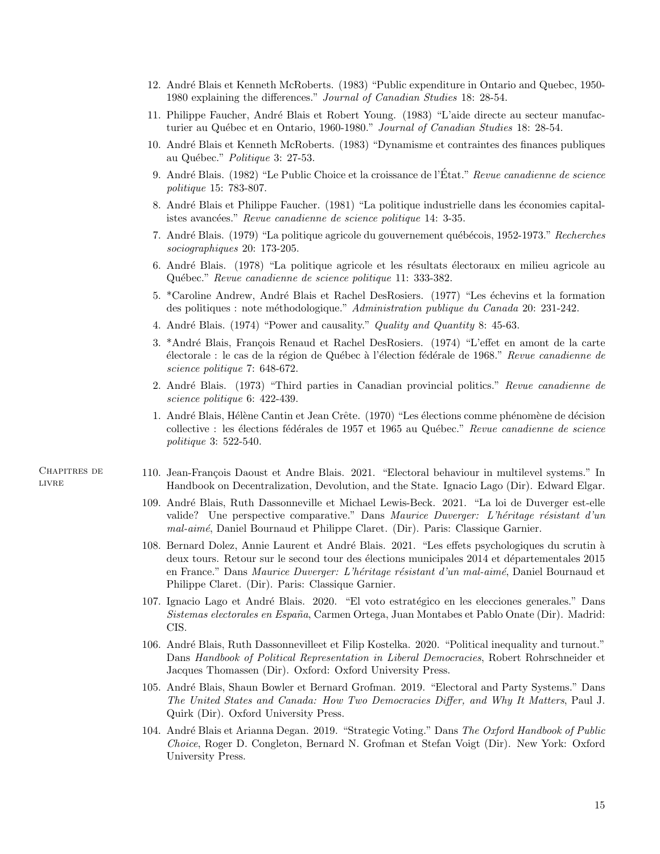- 12. Andr´e Blais et Kenneth McRoberts. (1983) "Public expenditure in Ontario and Quebec, 1950- 1980 explaining the differences." Journal of Canadian Studies 18: 28-54.
- 11. Philippe Faucher, Andr´e Blais et Robert Young. (1983) "L'aide directe au secteur manufacturier au Québec et en Ontario, 1960-1980." Journal of Canadian Studies 18: 28-54.
- 10. Andr´e Blais et Kenneth McRoberts. (1983) "Dynamisme et contraintes des finances publiques au Québec." Politique 3: 27-53.
- 9. André Blais. (1982) "Le Public Choice et la croissance de l'État." Revue canadienne de science politique 15: 783-807.
- 8. André Blais et Philippe Faucher. (1981) "La politique industrielle dans les économies capitalistes avancées." Revue canadienne de science politique 14: 3-35.
- 7. André Blais. (1979) "La politique agricole du gouvernement québécois, 1952-1973." Recherches sociographiques 20: 173-205.
- 6. André Blais. (1978) "La politique agricole et les résultats électoraux en milieu agricole au Québec." Revue canadienne de science politique 11: 333-382.
- 5. \*Caroline Andrew, André Blais et Rachel DesRosiers. (1977) "Les échevins et la formation des politiques : note méthodologique." Administration publique du Canada 20: 231-242.
- 4. André Blais. (1974) "Power and causality." *Quality and Quantity 8*: 45-63.
- 3. \*André Blais, François Renaud et Rachel DesRosiers. (1974) "L'effet en amont de la carte électorale : le cas de la région de Québec à l'élection fédérale de 1968." Revue canadienne de science politique 7: 648-672.
- 2. André Blais. (1973) "Third parties in Canadian provincial politics." Revue canadienne de science politique 6: 422-439.
- 1. André Blais, Hélène Cantin et Jean Crête. (1970) "Les élections comme phénomène de décision collective : les élections fédérales de 1957 et 1965 au Québec." Revue canadienne de science politique 3: 522-540.
- Chapitres de LIVRE
- 110. Jean-François Daoust et Andre Blais. 2021. "Electoral behaviour in multilevel systems." In Handbook on Decentralization, Devolution, and the State. Ignacio Lago (Dir). Edward Elgar.
- 109. Andr´e Blais, Ruth Dassonneville et Michael Lewis-Beck. 2021. "La loi de Duverger est-elle valide? Une perspective comparative." Dans Maurice Duverger: L'héritage résistant d'un mal-aim´e, Daniel Bournaud et Philippe Claret. (Dir). Paris: Classique Garnier.
- 108. Bernard Dolez, Annie Laurent et André Blais. 2021. "Les effets psychologiques du scrutin à deux tours. Retour sur le second tour des élections municipales 2014 et départementales 2015 en France." Dans Maurice Duverger: L'héritage résistant d'un mal-aimé, Daniel Bournaud et Philippe Claret. (Dir). Paris: Classique Garnier.
- 107. Ignacio Lago et André Blais. 2020. "El voto estratégico en les elecciones generales." Dans Sistemas electorales en España, Carmen Ortega, Juan Montabes et Pablo Onate (Dir). Madrid: CIS.
- 106. André Blais, Ruth Dassonnevilleet et Filip Kostelka. 2020. "Political inequality and turnout." Dans Handbook of Political Representation in Liberal Democracies, Robert Rohrschneider et Jacques Thomassen (Dir). Oxford: Oxford University Press.
- 105. André Blais, Shaun Bowler et Bernard Grofman. 2019. "Electoral and Party Systems." Dans The United States and Canada: How Two Democracies Differ, and Why It Matters, Paul J. Quirk (Dir). Oxford University Press.
- 104. André Blais et Arianna Degan. 2019. "Strategic Voting." Dans The Oxford Handbook of Public Choice, Roger D. Congleton, Bernard N. Grofman et Stefan Voigt (Dir). New York: Oxford University Press.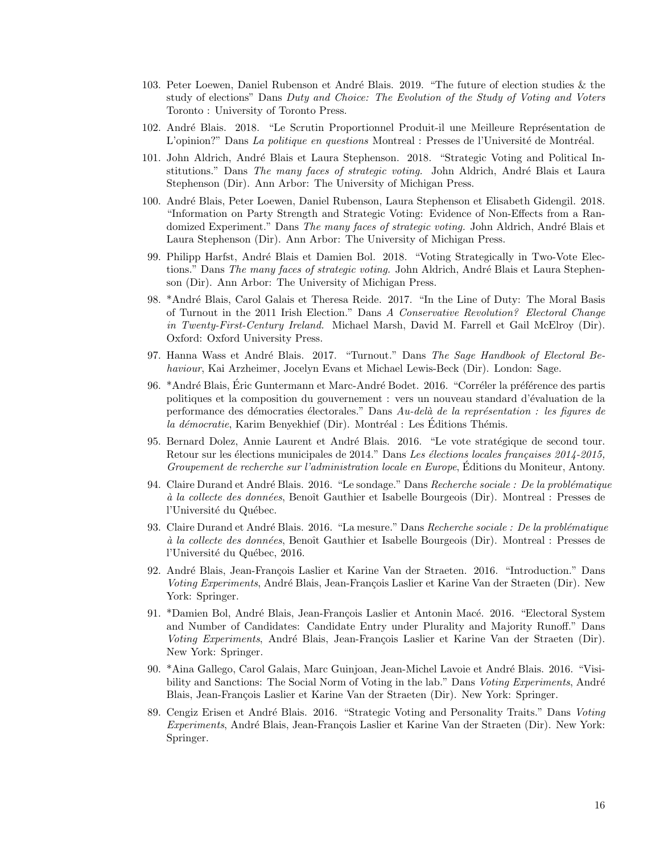- 103. Peter Loewen, Daniel Rubenson et André Blais. 2019. "The future of election studies  $\&$  the study of elections" Dans Duty and Choice: The Evolution of the Study of Voting and Voters Toronto : University of Toronto Press.
- 102. André Blais. 2018. "Le Scrutin Proportionnel Produit-il une Meilleure Représentation de L'opinion?" Dans La politique en questions Montreal : Presses de l'Université de Montréal.
- 101. John Aldrich, André Blais et Laura Stephenson. 2018. "Strategic Voting and Political Institutions." Dans The many faces of strategic voting. John Aldrich, André Blais et Laura Stephenson (Dir). Ann Arbor: The University of Michigan Press.
- 100. Andr´e Blais, Peter Loewen, Daniel Rubenson, Laura Stephenson et Elisabeth Gidengil. 2018. "Information on Party Strength and Strategic Voting: Evidence of Non-Effects from a Randomized Experiment." Dans The many faces of strategic voting. John Aldrich, André Blais et Laura Stephenson (Dir). Ann Arbor: The University of Michigan Press.
- 99. Philipp Harfst, André Blais et Damien Bol. 2018. "Voting Strategically in Two-Vote Elections." Dans The many faces of strategic voting. John Aldrich, André Blais et Laura Stephenson (Dir). Ann Arbor: The University of Michigan Press.
- 98. \*André Blais, Carol Galais et Theresa Reide. 2017. "In the Line of Duty: The Moral Basis of Turnout in the 2011 Irish Election." Dans A Conservative Revolution? Electoral Change in Twenty-First-Century Ireland. Michael Marsh, David M. Farrell et Gail McElroy (Dir). Oxford: Oxford University Press.
- 97. Hanna Wass et André Blais. 2017. "Turnout." Dans The Sage Handbook of Electoral Behaviour, Kai Arzheimer, Jocelyn Evans et Michael Lewis-Beck (Dir). London: Sage.
- 96. \*André Blais, Éric Guntermann et Marc-André Bodet. 2016. "Corréler la préférence des partis politiques et la composition du gouvernement : vers un nouveau standard d'´evaluation de la performance des démocraties électorales." Dans  $Au$ -delà de la représentation : les figures de la démocratie, Karim Benyekhief (Dir). Montréal : Les Editions Thémis.
- 95. Bernard Dolez, Annie Laurent et André Blais. 2016. "Le vote stratégique de second tour. Retour sur les élections municipales de 2014." Dans Les élections locales françaises 2014-2015, Groupement de recherche sur l'administration locale en Europe, Éditions du Moniteur, Antony.
- 94. Claire Durand et André Blais. 2016. "Le sondage." Dans Recherche sociale : De la problématique à la collecte des données, Benoît Gauthier et Isabelle Bourgeois (Dir). Montreal : Presses de l'Université du Québec.
- 93. Claire Durand et André Blais. 2016. "La mesure." Dans Recherche sociale : De la problématique à la collecte des données, Benoît Gauthier et Isabelle Bourgeois (Dir). Montreal : Presses de l'Université du Québec, 2016.
- 92. André Blais, Jean-François Laslier et Karine Van der Straeten. 2016. "Introduction." Dans Voting Experiments, André Blais, Jean-François Laslier et Karine Van der Straeten (Dir). New York: Springer.
- 91. \*Damien Bol, André Blais, Jean-François Laslier et Antonin Macé. 2016. "Electoral System and Number of Candidates: Candidate Entry under Plurality and Majority Runoff." Dans Voting Experiments, André Blais, Jean-François Laslier et Karine Van der Straeten (Dir). New York: Springer.
- 90. \*Aina Gallego, Carol Galais, Marc Guinjoan, Jean-Michel Lavoie et André Blais. 2016. "Visibility and Sanctions: The Social Norm of Voting in the lab." Dans Voting Experiments, André Blais, Jean-François Laslier et Karine Van der Straeten (Dir). New York: Springer.
- 89. Cengiz Erisen et André Blais. 2016. "Strategic Voting and Personality Traits." Dans Voting Experiments, André Blais, Jean-François Laslier et Karine Van der Straeten (Dir). New York: Springer.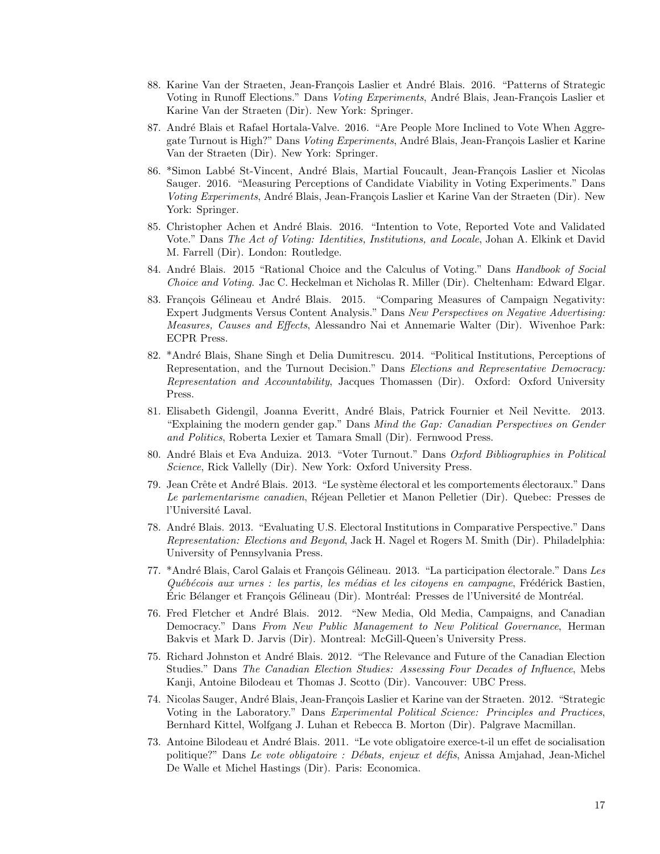- 88. Karine Van der Straeten, Jean-François Laslier et André Blais. 2016. "Patterns of Strategic Voting in Runoff Elections." Dans Voting Experiments, André Blais, Jean-François Laslier et Karine Van der Straeten (Dir). New York: Springer.
- 87. André Blais et Rafael Hortala-Valve. 2016. "Are People More Inclined to Vote When Aggregate Turnout is High?" Dans Voting Experiments, André Blais, Jean-François Laslier et Karine Van der Straeten (Dir). New York: Springer.
- 86. \*Simon Labbé St-Vincent, André Blais, Martial Foucault, Jean-François Laslier et Nicolas Sauger. 2016. "Measuring Perceptions of Candidate Viability in Voting Experiments." Dans Voting Experiments, André Blais, Jean-François Laslier et Karine Van der Straeten (Dir). New York: Springer.
- 85. Christopher Achen et André Blais. 2016. "Intention to Vote, Reported Vote and Validated Vote." Dans The Act of Voting: Identities, Institutions, and Locale, Johan A. Elkink et David M. Farrell (Dir). London: Routledge.
- 84. André Blais. 2015 "Rational Choice and the Calculus of Voting." Dans Handbook of Social Choice and Voting. Jac C. Heckelman et Nicholas R. Miller (Dir). Cheltenham: Edward Elgar.
- 83. François Gélineau et André Blais. 2015. "Comparing Measures of Campaign Negativity: Expert Judgments Versus Content Analysis." Dans New Perspectives on Negative Advertising: Measures, Causes and Effects, Alessandro Nai et Annemarie Walter (Dir). Wivenhoe Park: ECPR Press.
- 82. \*André Blais, Shane Singh et Delia Dumitrescu. 2014. "Political Institutions, Perceptions of Representation, and the Turnout Decision." Dans Elections and Representative Democracy: Representation and Accountability, Jacques Thomassen (Dir). Oxford: Oxford University Press.
- 81. Elisabeth Gidengil, Joanna Everitt, André Blais, Patrick Fournier et Neil Nevitte. 2013. "Explaining the modern gender gap." Dans Mind the Gap: Canadian Perspectives on Gender and Politics, Roberta Lexier et Tamara Small (Dir). Fernwood Press.
- 80. André Blais et Eva Anduiza. 2013. "Voter Turnout." Dans Oxford Bibliographies in Political Science, Rick Vallelly (Dir). New York: Oxford University Press.
- 79. Jean Crête et André Blais. 2013. "Le système électoral et les comportements électoraux." Dans Le parlementarisme canadien, Réjean Pelletier et Manon Pelletier (Dir). Quebec: Presses de l'Université Laval.
- 78. Andr´e Blais. 2013. "Evaluating U.S. Electoral Institutions in Comparative Perspective." Dans Representation: Elections and Beyond, Jack H. Nagel et Rogers M. Smith (Dir). Philadelphia: University of Pennsylvania Press.
- 77. \*André Blais, Carol Galais et François Gélineau. 2013. "La participation électorale." Dans Les  $Québécois aux urnes : les partis, les médias et les citoyens en campagne, Frédérick Bastien,$ Eric Bélanger et François Gélineau (Dir). Montréal: Presses de l'Université de Montréal.
- 76. Fred Fletcher et André Blais. 2012. "New Media, Old Media, Campaigns, and Canadian Democracy." Dans From New Public Management to New Political Governance, Herman Bakvis et Mark D. Jarvis (Dir). Montreal: McGill-Queen's University Press.
- 75. Richard Johnston et André Blais. 2012. "The Relevance and Future of the Canadian Election Studies." Dans The Canadian Election Studies: Assessing Four Decades of Influence, Mebs Kanji, Antoine Bilodeau et Thomas J. Scotto (Dir). Vancouver: UBC Press.
- 74. Nicolas Sauger, André Blais, Jean-François Laslier et Karine van der Straeten. 2012. "Strategic Voting in the Laboratory." Dans Experimental Political Science: Principles and Practices, Bernhard Kittel, Wolfgang J. Luhan et Rebecca B. Morton (Dir). Palgrave Macmillan.
- 73. Antoine Bilodeau et André Blais. 2011. "Le vote obligatoire exerce-t-il un effet de socialisation politique?" Dans Le vote obligatoire : Débats, enjeux et défis, Anissa Amjahad, Jean-Michel De Walle et Michel Hastings (Dir). Paris: Economica.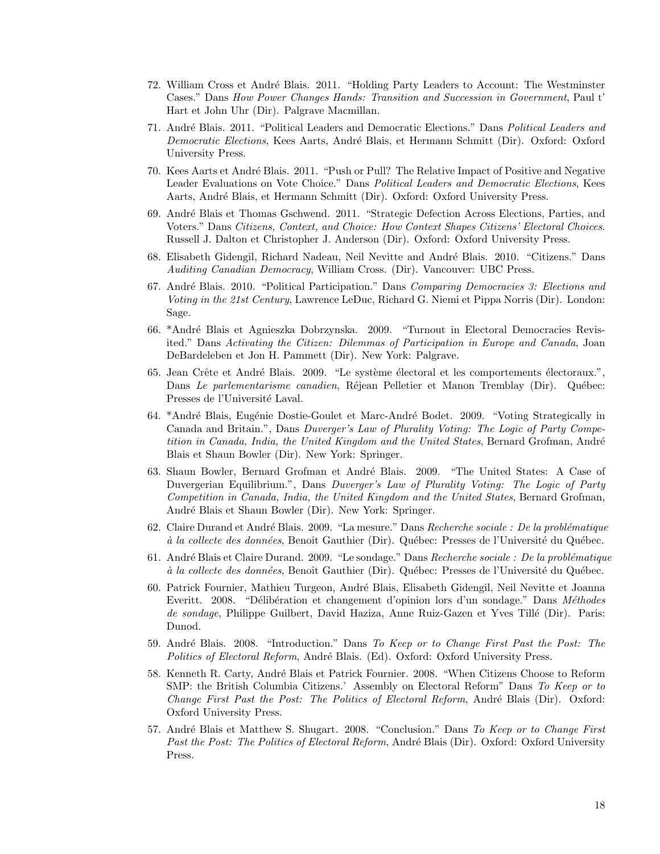- 72. William Cross et André Blais. 2011. "Holding Party Leaders to Account: The Westminster Cases." Dans How Power Changes Hands: Transition and Succession in Government, Paul t' Hart et John Uhr (Dir). Palgrave Macmillan.
- 71. André Blais. 2011. "Political Leaders and Democratic Elections." Dans *Political Leaders and* Democratic Elections, Kees Aarts, André Blais, et Hermann Schmitt (Dir). Oxford: Oxford University Press.
- 70. Kees Aarts et André Blais. 2011. "Push or Pull? The Relative Impact of Positive and Negative Leader Evaluations on Vote Choice." Dans Political Leaders and Democratic Elections, Kees Aarts, André Blais, et Hermann Schmitt (Dir). Oxford: Oxford University Press.
- 69. Andr´e Blais et Thomas Gschwend. 2011. "Strategic Defection Across Elections, Parties, and Voters." Dans Citizens, Context, and Choice: How Context Shapes Citizens' Electoral Choices. Russell J. Dalton et Christopher J. Anderson (Dir). Oxford: Oxford University Press.
- 68. Elisabeth Gidengil, Richard Nadeau, Neil Nevitte and André Blais. 2010. "Citizens." Dans Auditing Canadian Democracy, William Cross. (Dir). Vancouver: UBC Press.
- 67. André Blais. 2010. "Political Participation." Dans Comparing Democracies 3: Elections and Voting in the 21st Century, Lawrence LeDuc, Richard G. Niemi et Pippa Norris (Dir). London: Sage.
- 66. \*Andr´e Blais et Agnieszka Dobrzynska. 2009. "Turnout in Electoral Democracies Revisited." Dans Activating the Citizen: Dilemmas of Participation in Europe and Canada, Joan DeBardeleben et Jon H. Pammett (Dir). New York: Palgrave.
- 65. Jean Crête et André Blais. 2009. "Le système électoral et les comportements électoraux.", Dans Le parlementarisme canadien, Réjean Pelletier et Manon Tremblay (Dir). Québec: Presses de l'Université Laval.
- 64. \*André Blais, Eugénie Dostie-Goulet et Marc-André Bodet. 2009. "Voting Strategically in Canada and Britain.", Dans Duverger's Law of Plurality Voting: The Logic of Party Competition in Canada, India, the United Kingdom and the United States, Bernard Grofman, André Blais et Shaun Bowler (Dir). New York: Springer.
- 63. Shaun Bowler, Bernard Grofman et André Blais. 2009. "The United States: A Case of Duvergerian Equilibrium.", Dans Duverger's Law of Plurality Voting: The Logic of Party Competition in Canada, India, the United Kingdom and the United States, Bernard Grofman, André Blais et Shaun Bowler (Dir). New York: Springer.
- 62. Claire Durand et André Blais. 2009. "La mesure." Dans Recherche sociale : De la problématique à la collecte des données, Benoît Gauthier (Dir). Québec: Presses de l'Université du Québec.
- 61. André Blais et Claire Durand. 2009. "Le sondage." Dans Recherche sociale : De la problématique à la collecte des données, Benoît Gauthier (Dir). Québec: Presses de l'Université du Québec.
- 60. Patrick Fournier, Mathieu Turgeon, André Blais, Elisabeth Gidengil, Neil Nevitte et Joanna Everitt. 2008. "Délibération et changement d'opinion lors d'un sondage." Dans Méthodes de sondage, Philippe Guilbert, David Haziza, Anne Ruiz-Gazen et Yves Tillé (Dir). Paris: Dunod.
- 59. André Blais. 2008. "Introduction." Dans To Keep or to Change First Past the Post: The Politics of Electoral Reform, André Blais. (Ed). Oxford: Oxford University Press.
- 58. Kenneth R. Carty, André Blais et Patrick Fournier. 2008. "When Citizens Choose to Reform SMP: the British Columbia Citizens.' Assembly on Electoral Reform" Dans To Keep or to Change First Past the Post: The Politics of Electoral Reform, André Blais (Dir). Oxford: Oxford University Press.
- 57. André Blais et Matthew S. Shugart. 2008. "Conclusion." Dans To Keep or to Change First Past the Post: The Politics of Electoral Reform, André Blais (Dir). Oxford: Oxford University Press.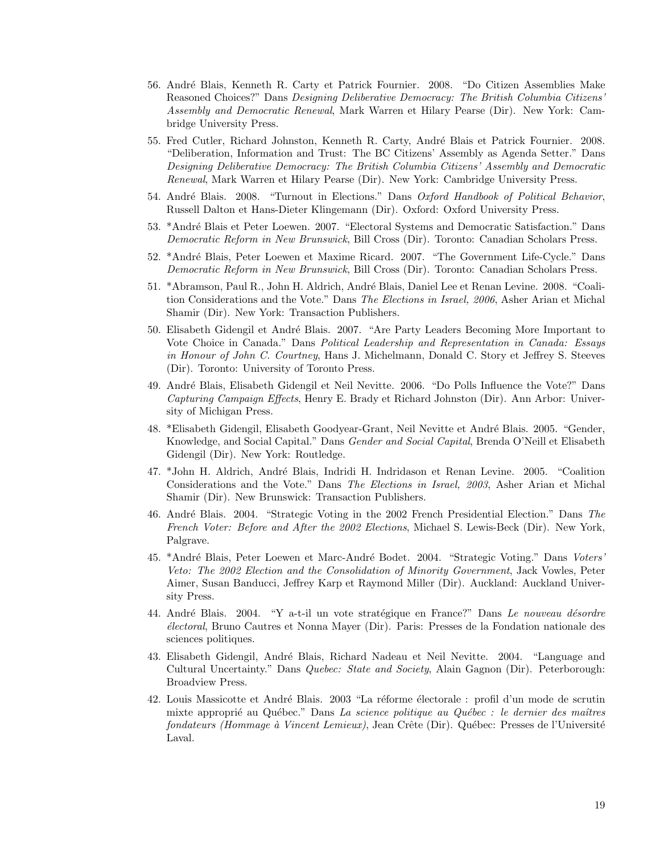- 56. Andr´e Blais, Kenneth R. Carty et Patrick Fournier. 2008. "Do Citizen Assemblies Make Reasoned Choices?" Dans *Designing Deliberative Democracy: The British Columbia Citizens* Assembly and Democratic Renewal, Mark Warren et Hilary Pearse (Dir). New York: Cambridge University Press.
- 55. Fred Cutler, Richard Johnston, Kenneth R. Carty, André Blais et Patrick Fournier. 2008. "Deliberation, Information and Trust: The BC Citizens' Assembly as Agenda Setter." Dans Designing Deliberative Democracy: The British Columbia Citizens' Assembly and Democratic Renewal, Mark Warren et Hilary Pearse (Dir). New York: Cambridge University Press.
- 54. André Blais. 2008. "Turnout in Elections." Dans Oxford Handbook of Political Behavior, Russell Dalton et Hans-Dieter Klingemann (Dir). Oxford: Oxford University Press.
- 53. \*André Blais et Peter Loewen. 2007. "Electoral Systems and Democratic Satisfaction." Dans Democratic Reform in New Brunswick, Bill Cross (Dir). Toronto: Canadian Scholars Press.
- 52. \*André Blais, Peter Loewen et Maxime Ricard. 2007. "The Government Life-Cycle." Dans Democratic Reform in New Brunswick, Bill Cross (Dir). Toronto: Canadian Scholars Press.
- 51. \*Abramson, Paul R., John H. Aldrich, André Blais, Daniel Lee et Renan Levine. 2008. "Coalition Considerations and the Vote." Dans The Elections in Israel, 2006, Asher Arian et Michal Shamir (Dir). New York: Transaction Publishers.
- 50. Elisabeth Gidengil et André Blais. 2007. "Are Party Leaders Becoming More Important to Vote Choice in Canada." Dans Political Leadership and Representation in Canada: Essays in Honour of John C. Courtney, Hans J. Michelmann, Donald C. Story et Jeffrey S. Steeves (Dir). Toronto: University of Toronto Press.
- 49. Andr´e Blais, Elisabeth Gidengil et Neil Nevitte. 2006. "Do Polls Influence the Vote?" Dans Capturing Campaign Effects, Henry E. Brady et Richard Johnston (Dir). Ann Arbor: University of Michigan Press.
- 48. \*Elisabeth Gidengil, Elisabeth Goodyear-Grant, Neil Nevitte et André Blais. 2005. "Gender, Knowledge, and Social Capital." Dans Gender and Social Capital, Brenda O'Neill et Elisabeth Gidengil (Dir). New York: Routledge.
- 47. \*John H. Aldrich, André Blais, Indridi H. Indridason et Renan Levine. 2005. "Coalition Considerations and the Vote." Dans The Elections in Israel, 2003, Asher Arian et Michal Shamir (Dir). New Brunswick: Transaction Publishers.
- 46. André Blais. 2004. "Strategic Voting in the 2002 French Presidential Election." Dans The French Voter: Before and After the 2002 Elections, Michael S. Lewis-Beck (Dir). New York, Palgrave.
- 45. \*André Blais, Peter Loewen et Marc-André Bodet. 2004. "Strategic Voting." Dans Voters' Veto: The 2002 Election and the Consolidation of Minority Government, Jack Vowles, Peter Aimer, Susan Banducci, Jeffrey Karp et Raymond Miller (Dir). Auckland: Auckland University Press.
- 44. André Blais. 2004. "Y a-t-il un vote stratégique en France?" Dans Le nouveau désordre ´electoral, Bruno Cautres et Nonna Mayer (Dir). Paris: Presses de la Fondation nationale des sciences politiques.
- 43. Elisabeth Gidengil, André Blais, Richard Nadeau et Neil Nevitte. 2004. "Language and Cultural Uncertainty." Dans Quebec: State and Society, Alain Gagnon (Dir). Peterborough: Broadview Press.
- 42. Louis Massicotte et André Blais. 2003 "La réforme électorale : profil d'un mode de scrutin mixte approprié au Québec." Dans La science politique au Québec : le dernier des maîtres  $fondateurs$  (Hommage à Vincent Lemieux), Jean Crête (Dir). Québec: Presses de l'Université Laval.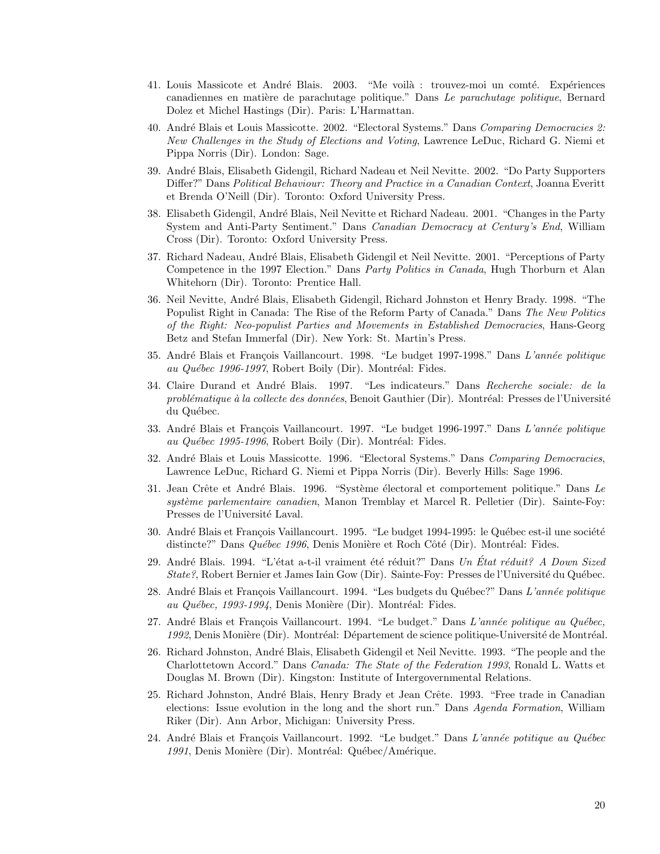- 41. Louis Massicote et André Blais. 2003. "Me voilà : trouvez-moi un comté. Expériences canadiennes en matière de parachutage politique." Dans Le parachutage politique, Bernard Dolez et Michel Hastings (Dir). Paris: L'Harmattan.
- 40. André Blais et Louis Massicotte. 2002. "Electoral Systems." Dans Comparing Democracies 2: New Challenges in the Study of Elections and Voting, Lawrence LeDuc, Richard G. Niemi et Pippa Norris (Dir). London: Sage.
- 39. Andr´e Blais, Elisabeth Gidengil, Richard Nadeau et Neil Nevitte. 2002. "Do Party Supporters Differ?" Dans Political Behaviour: Theory and Practice in a Canadian Context, Joanna Everitt et Brenda O'Neill (Dir). Toronto: Oxford University Press.
- 38. Elisabeth Gidengil, André Blais, Neil Nevitte et Richard Nadeau. 2001. "Changes in the Party System and Anti-Party Sentiment." Dans Canadian Democracy at Century's End, William Cross (Dir). Toronto: Oxford University Press.
- 37. Richard Nadeau, André Blais, Elisabeth Gidengil et Neil Nevitte. 2001. "Perceptions of Party Competence in the 1997 Election." Dans *Party Politics in Canada*, Hugh Thorburn et Alan Whitehorn (Dir). Toronto: Prentice Hall.
- 36. Neil Nevitte, André Blais, Elisabeth Gidengil, Richard Johnston et Henry Brady. 1998. "The Populist Right in Canada: The Rise of the Reform Party of Canada." Dans The New Politics of the Right: Neo-populist Parties and Movements in Established Democracies, Hans-Georg Betz and Stefan Immerfal (Dir). New York: St. Martin's Press.
- 35. André Blais et François Vaillancourt. 1998. "Le budget 1997-1998." Dans L'année politique au Québec 1996-1997, Robert Boily (Dir). Montréal: Fides.
- 34. Claire Durand et André Blais. 1997. "Les indicateurs." Dans Recherche sociale: de la problématique à la collecte des données, Benoit Gauthier (Dir). Montréal: Presses de l'Université du Québec.
- 33. André Blais et François Vaillancourt. 1997. "Le budget 1996-1997." Dans L'année politique au Québec 1995-1996, Robert Boily (Dir). Montréal: Fides.
- 32. André Blais et Louis Massicotte. 1996. "Electoral Systems." Dans Comparing Democracies, Lawrence LeDuc, Richard G. Niemi et Pippa Norris (Dir). Beverly Hills: Sage 1996.
- 31. Jean Crête et André Blais. 1996. "Système électoral et comportement politique." Dans Le système parlementaire canadien, Manon Tremblay et Marcel R. Pelletier (Dir). Sainte-Foy: Presses de l'Université Laval.
- 30. André Blais et François Vaillancourt. 1995. "Le budget 1994-1995: le Québec est-il une société distincte?" Dans Québec 1996, Denis Monière et Roch Côté (Dir). Montréal: Fides.
- 29. André Blais. 1994. "L'état a-t-il vraiment été réduit?" Dans Un État réduit? A Down Sized State?, Robert Bernier et James Iain Gow (Dir). Sainte-Foy: Presses de l'Université du Québec.
- 28. André Blais et François Vaillancourt. 1994. "Les budgets du Québec?" Dans L'année politique au Québec, 1993-1994, Denis Monière (Dir). Montréal: Fides.
- 27. André Blais et François Vaillancourt. 1994. "Le budget." Dans L'année politique au Québec, 1992, Denis Monière (Dir). Montréal: Département de science politique-Université de Montréal.
- 26. Richard Johnston, André Blais, Elisabeth Gidengil et Neil Nevitte. 1993. "The people and the Charlottetown Accord." Dans Canada: The State of the Federation 1993, Ronald L. Watts et Douglas M. Brown (Dir). Kingston: Institute of Intergovernmental Relations.
- 25. Richard Johnston, André Blais, Henry Brady et Jean Crête. 1993. "Free trade in Canadian elections: Issue evolution in the long and the short run." Dans Agenda Formation, William Riker (Dir). Ann Arbor, Michigan: University Press.
- 24. André Blais et François Vaillancourt. 1992. "Le budget." Dans L'année potitique au Québec 1991, Denis Monière (Dir). Montréal: Québec/Amérique.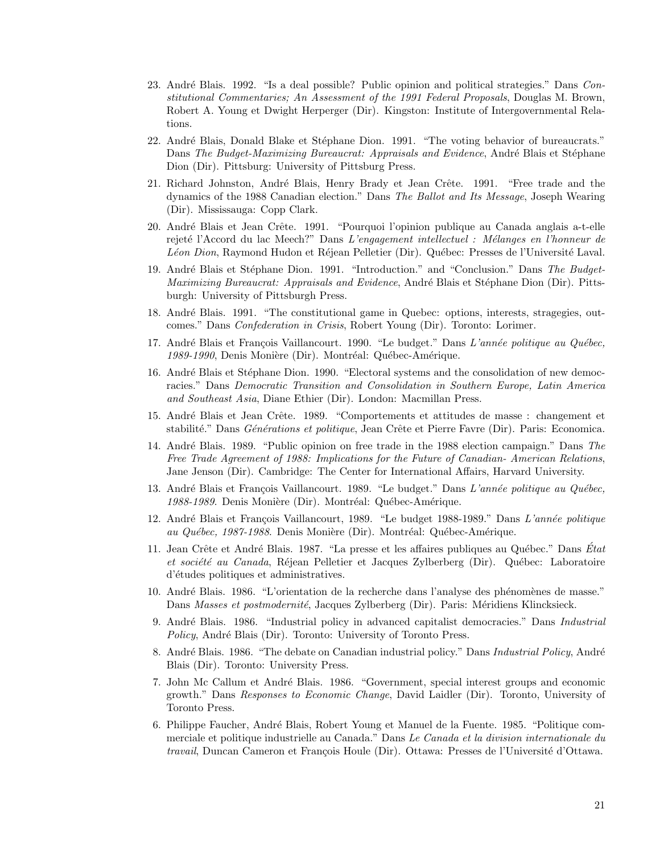- 23. André Blais. 1992. "Is a deal possible? Public opinion and political strategies." Dans Constitutional Commentaries; An Assessment of the 1991 Federal Proposals, Douglas M. Brown, Robert A. Young et Dwight Herperger (Dir). Kingston: Institute of Intergovernmental Relations.
- 22. André Blais, Donald Blake et Stéphane Dion. 1991. "The voting behavior of bureaucrats." Dans The Budget-Maximizing Bureaucrat: Appraisals and Evidence, André Blais et Stéphane Dion (Dir). Pittsburg: University of Pittsburg Press.
- 21. Richard Johnston, André Blais, Henry Brady et Jean Crête. 1991. "Free trade and the dynamics of the 1988 Canadian election." Dans The Ballot and Its Message, Joseph Wearing (Dir). Mississauga: Copp Clark.
- 20. André Blais et Jean Crête. 1991. "Pourquoi l'opinion publique au Canada anglais a-t-elle rejeté l'Accord du lac Meech?" Dans L'engagement intellectuel : Mélanges en l'honneur de Léon Dion, Raymond Hudon et Réjean Pelletier (Dir). Québec: Presses de l'Université Laval.
- 19. André Blais et Stéphane Dion. 1991. "Introduction." and "Conclusion." Dans The Budget-Maximizing Bureaucrat: Appraisals and Evidence, André Blais et Stéphane Dion (Dir). Pittsburgh: University of Pittsburgh Press.
- 18. Andr´e Blais. 1991. "The constitutional game in Quebec: options, interests, stragegies, outcomes." Dans Confederation in Crisis, Robert Young (Dir). Toronto: Lorimer.
- 17. André Blais et François Vaillancourt. 1990. "Le budget." Dans L'année politique au Québec, 1989-1990, Denis Monière (Dir). Montréal: Québec-Amérique.
- 16. André Blais et Stéphane Dion. 1990. "Electoral systems and the consolidation of new democracies." Dans Democratic Transition and Consolidation in Southern Europe, Latin America and Southeast Asia, Diane Ethier (Dir). London: Macmillan Press.
- 15. André Blais et Jean Crête. 1989. "Comportements et attitudes de masse : changement et stabilité." Dans Générations et politique, Jean Crête et Pierre Favre (Dir). Paris: Economica.
- 14. Andr´e Blais. 1989. "Public opinion on free trade in the 1988 election campaign." Dans The Free Trade Agreement of 1988: Implications for the Future of Canadian- American Relations, Jane Jenson (Dir). Cambridge: The Center for International Affairs, Harvard University.
- 13. André Blais et François Vaillancourt. 1989. "Le budget." Dans L'année politique au Québec, 1988-1989. Denis Monière (Dir). Montréal: Québec-Amérique.
- 12. André Blais et François Vaillancourt, 1989. "Le budget 1988-1989." Dans L'année politique au Québec, 1987-1988. Denis Monière (Dir). Montréal: Québec-Amérique.
- 11. Jean Crête et André Blais. 1987. "La presse et les affaires publiques au Québec." Dans État et société au Canada, Réjean Pelletier et Jacques Zylberberg (Dir). Québec: Laboratoire d'études politiques et administratives.
- 10. Andr´e Blais. 1986. "L'orientation de la recherche dans l'analyse des ph´enom`enes de masse." Dans Masses et postmodernité, Jacques Zylberberg (Dir). Paris: Méridiens Klincksieck.
- 9. André Blais. 1986. "Industrial policy in advanced capitalist democracies." Dans Industrial Policy, André Blais (Dir). Toronto: University of Toronto Press.
- 8. André Blais. 1986. "The debate on Canadian industrial policy." Dans Industrial Policy, André Blais (Dir). Toronto: University Press.
- 7. John Mc Callum et André Blais. 1986. "Government, special interest groups and economic growth." Dans Responses to Economic Change, David Laidler (Dir). Toronto, University of Toronto Press.
- 6. Philippe Faucher, Andr´e Blais, Robert Young et Manuel de la Fuente. 1985. "Politique commerciale et politique industrielle au Canada." Dans Le Canada et la division internationale du travail, Duncan Cameron et François Houle (Dir). Ottawa: Presses de l'Université d'Ottawa.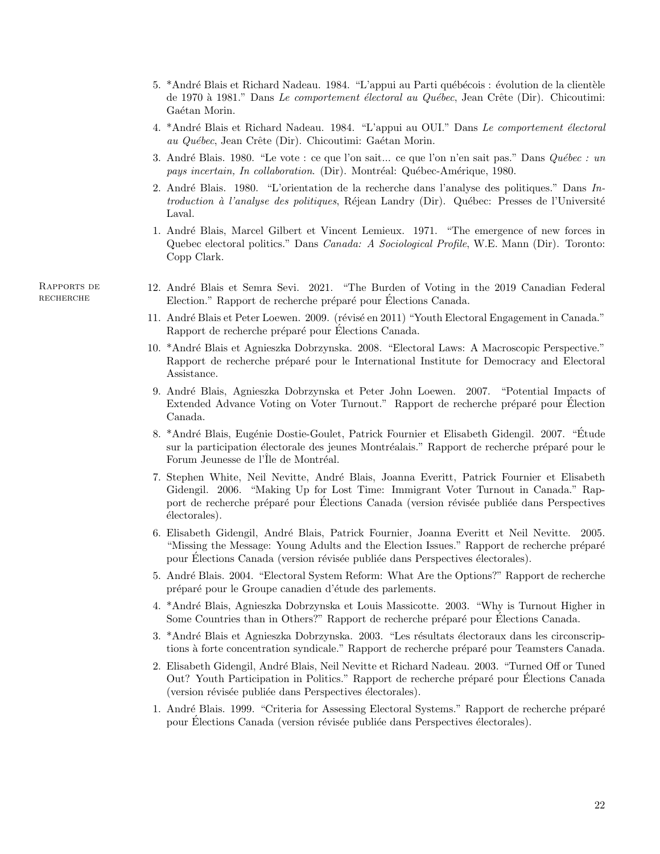- 5. \*André Blais et Richard Nadeau. 1984. "L'appui au Parti québécois : évolution de la clientèle de 1970 à 1981." Dans Le comportement électoral au Québec, Jean Crête (Dir). Chicoutimi: Gaétan Morin.
- 4. \*André Blais et Richard Nadeau. 1984. "L'appui au OUI." Dans Le comportement électoral au Québec, Jean Crête (Dir). Chicoutimi: Gaétan Morin.
- 3. André Blais. 1980. "Le vote : ce que l'on sait... ce que l'on n'en sait pas." Dans Québec : un pays incertain, In collaboration. (Dir). Montréal: Québec-Amérique, 1980.
- 2. André Blais. 1980. "L'orientation de la recherche dans l'analyse des politiques." Dans  $In$ troduction à l'analyse des politiques, Réjean Landry (Dir). Québec: Presses de l'Université Laval.
- 1. Andr´e Blais, Marcel Gilbert et Vincent Lemieux. 1971. "The emergence of new forces in Quebec electoral politics." Dans Canada: A Sociological Profile, W.E. Mann (Dir). Toronto: Copp Clark.

Rapports de recherche

- 12. Andr´e Blais et Semra Sevi. 2021. "The Burden of Voting in the 2019 Canadian Federal Election." Rapport de recherche préparé pour Élections Canada.
- 11. André Blais et Peter Loewen. 2009. (révisé en 2011) "Youth Electoral Engagement in Canada." Rapport de recherche préparé pour Elections Canada.
- 10. \*Andr´e Blais et Agnieszka Dobrzynska. 2008. "Electoral Laws: A Macroscopic Perspective." Rapport de recherche préparé pour le International Institute for Democracy and Electoral Assistance.
- 9. Andr´e Blais, Agnieszka Dobrzynska et Peter John Loewen. 2007. "Potential Impacts of Extended Advance Voting on Voter Turnout." Rapport de recherche préparé pour Élection Canada.
- 8. \*André Blais, Eugénie Dostie-Goulet, Patrick Fournier et Elisabeth Gidengil. 2007. "Étude sur la participation électorale des jeunes Montréalais." Rapport de recherche préparé pour le Forum Jeunesse de l'Île de Montréal.
- 7. Stephen White, Neil Nevitte, André Blais, Joanna Everitt, Patrick Fournier et Elisabeth Gidengil. 2006. "Making Up for Lost Time: Immigrant Voter Turnout in Canada." Rapport de recherche préparé pour Élections Canada (version révisée publiée dans Perspectives  $\acute{e}$ lectorales).
- 6. Elisabeth Gidengil, André Blais, Patrick Fournier, Joanna Everitt et Neil Nevitte. 2005. "Missing the Message: Young Adults and the Election Issues." Rapport de recherche préparé pour Élections Canada (version révisée publiée dans Perspectives électorales).
- 5. André Blais. 2004. "Electoral System Reform: What Are the Options?" Rapport de recherche préparé pour le Groupe canadien d'étude des parlements.
- 4. \*Andr´e Blais, Agnieszka Dobrzynska et Louis Massicotte. 2003. "Why is Turnout Higher in Some Countries than in Others?" Rapport de recherche préparé pour Élections Canada.
- 3. \*André Blais et Agnieszka Dobrzynska. 2003. "Les résultats électoraux dans les circonscriptions à forte concentration syndicale." Rapport de recherche préparé pour Teamsters Canada.
- 2. Elisabeth Gidengil, André Blais, Neil Nevitte et Richard Nadeau. 2003. "Turned Off or Tuned Out? Youth Participation in Politics." Rapport de recherche préparé pour Elections Canada (version révisée publiée dans Perspectives électorales).
- 1. André Blais. 1999. "Criteria for Assessing Electoral Systems." Rapport de recherche préparé pour Elections Canada (version révisée publiée dans Perspectives électorales).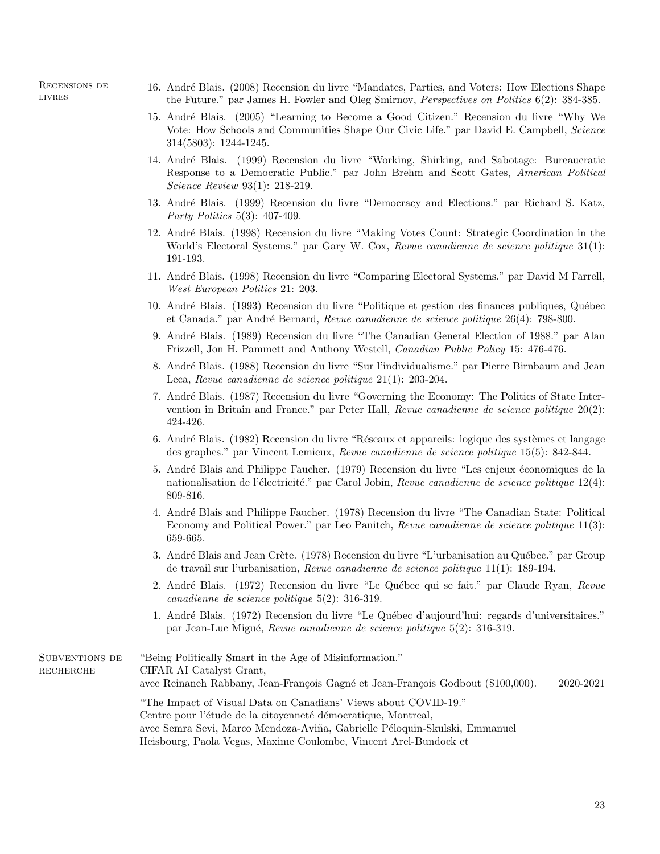Recensions de **LIVRES** 

- 16. Andr´e Blais. (2008) Recension du livre "Mandates, Parties, and Voters: How Elections Shape the Future." par James H. Fowler and Oleg Smirnov, Perspectives on Politics 6(2): 384-385.
- 15. Andr´e Blais. (2005) "Learning to Become a Good Citizen." Recension du livre "Why We Vote: How Schools and Communities Shape Our Civic Life." par David E. Campbell, Science 314(5803): 1244-1245.
- 14. Andr´e Blais. (1999) Recension du livre "Working, Shirking, and Sabotage: Bureaucratic Response to a Democratic Public." par John Brehm and Scott Gates, American Political Science Review 93(1): 218-219.
- 13. Andr´e Blais. (1999) Recension du livre "Democracy and Elections." par Richard S. Katz, Party Politics 5(3): 407-409.
- 12. Andr´e Blais. (1998) Recension du livre "Making Votes Count: Strategic Coordination in the World's Electoral Systems." par Gary W. Cox, Revue canadienne de science politique 31(1): 191-193.
- 11. Andr´e Blais. (1998) Recension du livre "Comparing Electoral Systems." par David M Farrell, West European Politics 21: 203.
- 10. André Blais. (1993) Recension du livre "Politique et gestion des finances publiques, Québec et Canada." par André Bernard, Revue canadienne de science politique 26(4): 798-800.
- 9. Andr´e Blais. (1989) Recension du livre "The Canadian General Election of 1988." par Alan Frizzell, Jon H. Pammett and Anthony Westell, Canadian Public Policy 15: 476-476.
- 8. André Blais. (1988) Recension du livre "Sur l'individualisme." par Pierre Birnbaum and Jean Leca, Revue canadienne de science politique 21(1): 203-204.
- 7. Andr´e Blais. (1987) Recension du livre "Governing the Economy: The Politics of State Intervention in Britain and France." par Peter Hall, Revue canadienne de science politique 20(2): 424-426.
- 6. André Blais. (1982) Recension du livre "Réseaux et appareils: logique des systèmes et langage des graphes." par Vincent Lemieux, Revue canadienne de science politique 15(5): 842-844.
- 5. André Blais and Philippe Faucher. (1979) Recension du livre "Les enjeux économiques de la nationalisation de l'électricité." par Carol Jobin, Revue canadienne de science politique  $12(4)$ : 809-816.
- 4. Andr´e Blais and Philippe Faucher. (1978) Recension du livre "The Canadian State: Political Economy and Political Power." par Leo Panitch, Revue canadienne de science politique 11(3): 659-665.
- 3. André Blais and Jean Crète. (1978) Recension du livre "L'urbanisation au Québec." par Group de travail sur l'urbanisation, Revue canadienne de science politique 11(1): 189-194.
- 2. André Blais. (1972) Recension du livre "Le Québec qui se fait." par Claude Ryan, Revue canadienne de science politique 5(2): 316-319.
- 1. Andr´e Blais. (1972) Recension du livre "Le Qu´ebec d'aujourd'hui: regards d'universitaires." par Jean-Luc Migu´e, Revue canadienne de science politique 5(2): 316-319.

Subventions de recherche "Being Politically Smart in the Age of Misinformation." CIFAR AI Catalyst Grant, avec Reinaneh Rabbany, Jean-François Gagné et Jean-François Godbout (\$100,000). 2020-2021 "The Impact of Visual Data on Canadians' Views about COVID-19." Centre pour l'étude de la citoyenneté démocratique, Montreal, avec Semra Sevi, Marco Mendoza-Aviña, Gabrielle Péloquin-Skulski, Emmanuel Heisbourg, Paola Vegas, Maxime Coulombe, Vincent Arel-Bundock et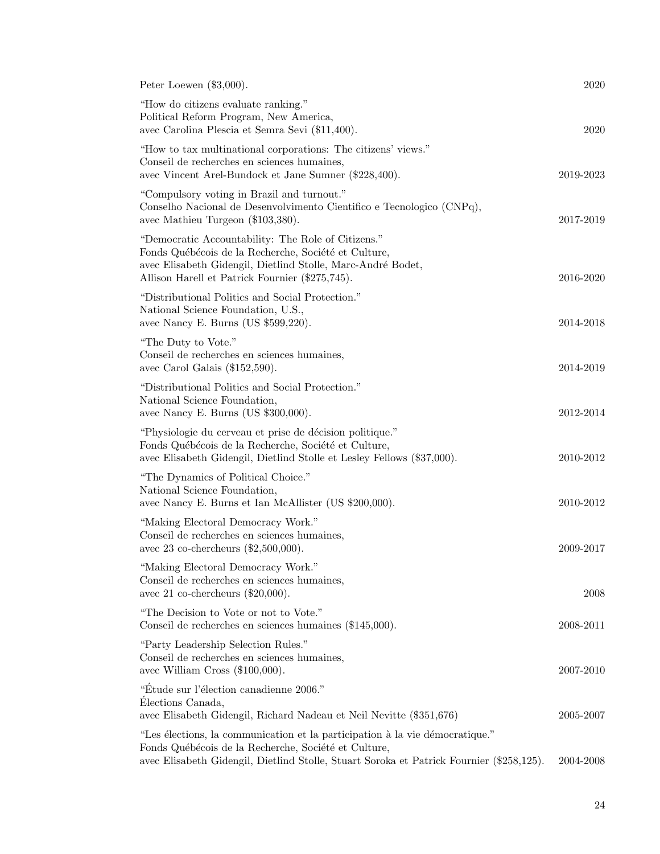| Peter Loewen $(\$3,000)$ .                                                                                                                                                                                                       | 2020      |
|----------------------------------------------------------------------------------------------------------------------------------------------------------------------------------------------------------------------------------|-----------|
| "How do citizens evaluate ranking."<br>Political Reform Program, New America,<br>avec Carolina Plescia et Semra Sevi (\$11,400).                                                                                                 | 2020      |
| "How to tax multinational corporations: The citizens' views."<br>Conseil de recherches en sciences humaines,<br>avec Vincent Arel-Bundock et Jane Sumner (\$228,400).                                                            | 2019-2023 |
| "Compulsory voting in Brazil and turnout."<br>Conselho Nacional de Desenvolvimento Científico e Tecnologico (CNPq),<br>avec Mathieu Turgeon (\$103,380).                                                                         | 2017-2019 |
| "Democratic Accountability: The Role of Citizens."<br>Fonds Québécois de la Recherche, Société et Culture,<br>avec Elisabeth Gidengil, Dietlind Stolle, Marc-André Bodet,<br>Allison Harell et Patrick Fournier (\$275,745).     | 2016-2020 |
| "Distributional Politics and Social Protection."<br>National Science Foundation, U.S.,<br>avec Nancy E. Burns (US \$599,220).                                                                                                    | 2014-2018 |
| "The Duty to Vote."<br>Conseil de recherches en sciences humaines,<br>avec Carol Galais $(\$152,590)$ .                                                                                                                          | 2014-2019 |
| "Distributional Politics and Social Protection."<br>National Science Foundation,<br>avec Nancy E. Burns (US \$300,000).                                                                                                          | 2012-2014 |
| "Physiologie du cerveau et prise de décision politique."<br>Fonds Québécois de la Recherche, Société et Culture,<br>avec Elisabeth Gidengil, Dietlind Stolle et Lesley Fellows (\$37,000).                                       | 2010-2012 |
| "The Dynamics of Political Choice."<br>National Science Foundation,<br>avec Nancy E. Burns et Ian McAllister (US \$200,000).                                                                                                     | 2010-2012 |
| "Making Electoral Democracy Work."<br>Conseil de recherches en sciences humaines,<br>avec 23 co-chercheurs $(\$2,500,000)$ .                                                                                                     | 2009-2017 |
| "Making Electoral Democracy Work."<br>Conseil de recherches en sciences humaines,<br>avec 21 co-chercheurs $(\$20,000)$ .                                                                                                        | 2008      |
| "The Decision to Vote or not to Vote."<br>Conseil de recherches en sciences humaines (\$145,000).                                                                                                                                | 2008-2011 |
| "Party Leadership Selection Rules."<br>Conseil de recherches en sciences humaines,<br>avec William Cross $(\$100,000)$ .                                                                                                         | 2007-2010 |
| "Étude sur l'élection canadienne 2006."<br>Élections Canada,<br>avec Elisabeth Gidengil, Richard Nadeau et Neil Nevitte (\$351,676)                                                                                              | 2005-2007 |
| "Les élections, la communication et la participation à la vie démocratique."<br>Fonds Québécois de la Recherche, Société et Culture,<br>avec Elisabeth Gidengil, Dietlind Stolle, Stuart Soroka et Patrick Fournier (\$258,125). | 2004-2008 |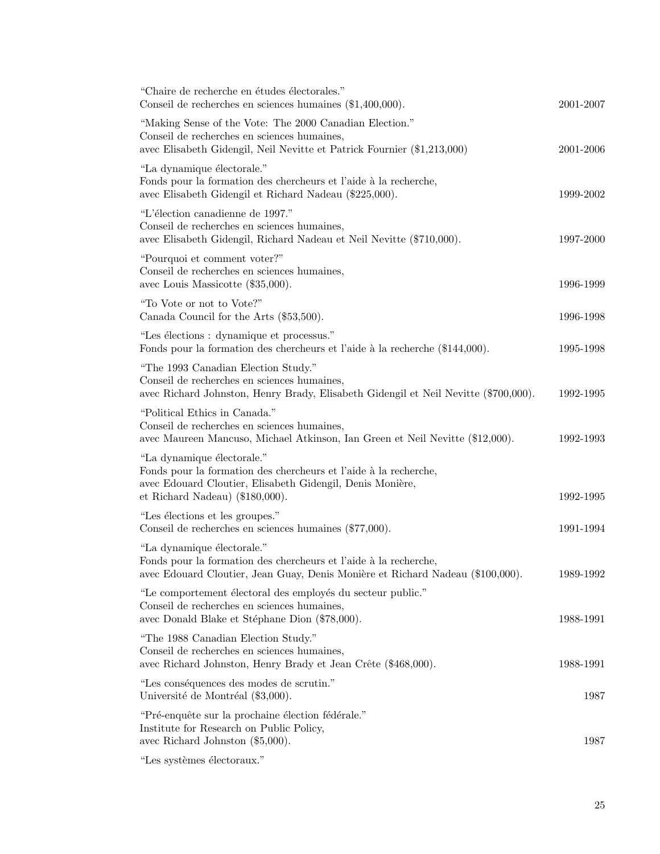| "Chaire de recherche en études électorales."<br>Conseil de recherches en sciences humaines $(\$1,400,000)$ .                                                                                     | 2001-2007 |
|--------------------------------------------------------------------------------------------------------------------------------------------------------------------------------------------------|-----------|
| "Making Sense of the Vote: The 2000 Canadian Election."<br>Conseil de recherches en sciences humaines,<br>avec Elisabeth Gidengil, Neil Nevitte et Patrick Fournier (\$1,213,000)                | 2001-2006 |
| "La dynamique électorale."<br>Fonds pour la formation des chercheurs et l'aide à la recherche,<br>avec Elisabeth Gidengil et Richard Nadeau (\$225,000).                                         | 1999-2002 |
| "L'élection canadienne de 1997."<br>Conseil de recherches en sciences humaines,<br>avec Elisabeth Gidengil, Richard Nadeau et Neil Nevitte (\$710,000).                                          | 1997-2000 |
| "Pourquoi et comment voter?"<br>Conseil de recherches en sciences humaines,<br>avec Louis Massicotte (\$35,000).                                                                                 | 1996-1999 |
| "To Vote or not to Vote?"<br>Canada Council for the Arts (\$53,500).                                                                                                                             | 1996-1998 |
| "Les élections : dynamique et processus."<br>Fonds pour la formation des chercheurs et l'aide à la recherche (\$144,000).                                                                        | 1995-1998 |
| "The 1993 Canadian Election Study."<br>Conseil de recherches en sciences humaines,<br>avec Richard Johnston, Henry Brady, Elisabeth Gidengil et Neil Nevitte (\$700,000).                        | 1992-1995 |
| "Political Ethics in Canada."<br>Conseil de recherches en sciences humaines,<br>avec Maureen Mancuso, Michael Atkinson, Ian Green et Neil Nevitte (\$12,000).                                    | 1992-1993 |
| "La dynamique électorale."<br>Fonds pour la formation des chercheurs et l'aide à la recherche,<br>avec Edouard Cloutier, Elisabeth Gidengil, Denis Monière,<br>et Richard Nadeau $(18180,000)$ . | 1992-1995 |
| "Les élections et les groupes."<br>Conseil de recherches en sciences humaines (\$77,000).                                                                                                        | 1991-1994 |
| "La dynamique électorale."<br>Fonds pour la formation des chercheurs et l'aide à la recherche,<br>avec Edouard Cloutier, Jean Guay, Denis Monière et Richard Nadeau (\$100,000).                 | 1989-1992 |
| "Le comportement électoral des employés du secteur public."<br>Conseil de recherches en sciences humaines,<br>avec Donald Blake et Stéphane Dion (\$78,000).                                     | 1988-1991 |
| "The 1988 Canadian Election Study."<br>Conseil de recherches en sciences humaines,<br>avec Richard Johnston, Henry Brady et Jean Crête (\$468,000).                                              | 1988-1991 |
| "Les conséquences des modes de scrutin."<br>Université de Montréal (\$3,000).                                                                                                                    | 1987      |
| "Pré-enquête sur la prochaine élection fédérale."<br>Institute for Research on Public Policy,<br>avec Richard Johnston $(\$5,000)$ .                                                             | 1987      |
| "Les systèmes électoraux."                                                                                                                                                                       |           |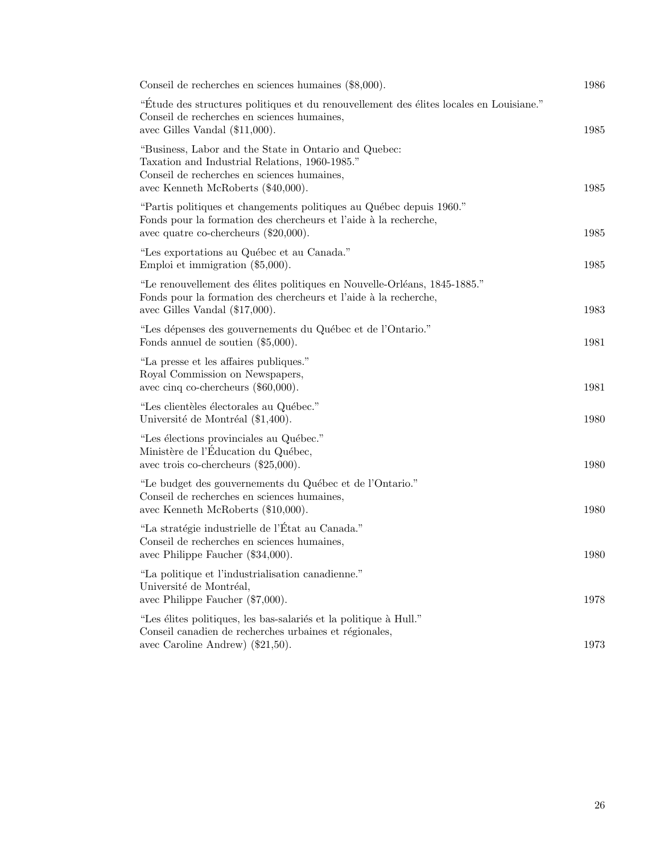| Conseil de recherches en sciences humaines (\$8,000).                                                                                                                                        | 1986 |
|----------------------------------------------------------------------------------------------------------------------------------------------------------------------------------------------|------|
| "Étude des structures politiques et du renouvellement des élites locales en Louisiane."<br>Conseil de recherches en sciences humaines,<br>avec Gilles Vandal (\$11,000).                     | 1985 |
| "Business, Labor and the State in Ontario and Quebec:<br>Taxation and Industrial Relations, 1960-1985."<br>Conseil de recherches en sciences humaines,<br>avec Kenneth McRoberts (\$40,000). | 1985 |
| "Partis politiques et changements politiques au Québec depuis 1960."<br>Fonds pour la formation des chercheurs et l'aide à la recherche,<br>avec quatre co-chercheurs $(\$20,000)$ .         | 1985 |
| "Les exportations au Québec et au Canada."<br>Emploi et immigration $(\$5,000)$ .                                                                                                            | 1985 |
| "Le renouvellement des élites politiques en Nouvelle-Orléans, 1845-1885."<br>Fonds pour la formation des chercheurs et l'aide à la recherche,<br>avec Gilles Vandal $(\$17,000)$ .           | 1983 |
| "Les dépenses des gouvernements du Québec et de l'Ontario."<br>Fonds annuel de soutien $(\$5,000)$ .                                                                                         | 1981 |
| "La presse et les affaires publiques."<br>Royal Commission on Newspapers,<br>avec cinq co-chercheurs $(\$60,000)$ .                                                                          | 1981 |
| "Les clientèles électorales au Québec."<br>Université de Montréal (\$1,400).                                                                                                                 | 1980 |
| "Les élections provinciales au Québec."<br>Ministère de l'Education du Québec,<br>avec trois co-chercheurs $(\$25,000)$ .                                                                    | 1980 |
| "Le budget des gouvernements du Québec et de l'Ontario."<br>Conseil de recherches en sciences humaines,<br>avec Kenneth McRoberts (\$10,000).                                                | 1980 |
| "La stratégie industrielle de l'État au Canada."<br>Conseil de recherches en sciences humaines,<br>avec Philippe Faucher (\$34,000).                                                         | 1980 |
| "La politique et l'industrialisation canadienne."<br>Université de Montréal,<br>avec Philippe Faucher (\$7,000).                                                                             | 1978 |
| "Les élites politiques, les bas-salariés et la politique à Hull."<br>Conseil canadien de recherches urbaines et régionales,<br>avec Caroline Andrew) (\$21,50).                              | 1973 |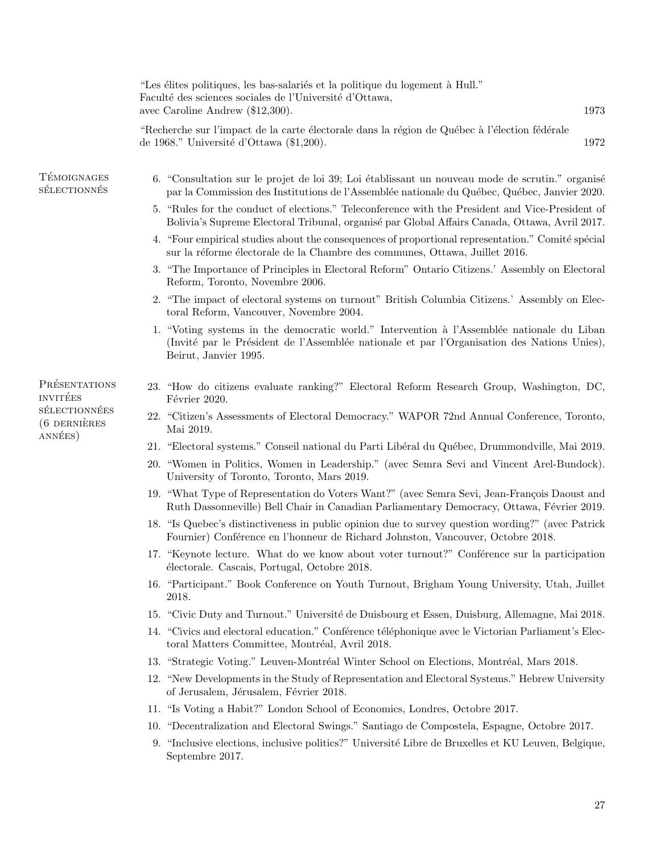|                                    | "Les élites politiques, les bas-salariés et la politique du logement à Hull."<br>Faculté des sciences sociales de l'Université d'Ottawa,<br>1973<br>avec Caroline Andrew $(\$12,300)$ .                            |
|------------------------------------|--------------------------------------------------------------------------------------------------------------------------------------------------------------------------------------------------------------------|
|                                    | "Recherche sur l'impact de la carte électorale dans la région de Québec à l'élection fédérale<br>de 1968." Université d'Ottawa $(\$1,200)$ .<br>1972                                                               |
| <b>TÉMOIGNAGES</b><br>SÉLECTIONNÉS | 6. "Consultation sur le projet de loi 39; Loi établissant un nouveau mode de scrutin." organisé<br>par la Commission des Institutions de l'Assemblée nationale du Québec, Québec, Janvier 2020.                    |
|                                    | 5. "Rules for the conduct of elections." Teleconference with the President and Vice-President of<br>Bolivia's Supreme Electoral Tribunal, organisé par Global Affairs Canada, Ottawa, Avril 2017.                  |
|                                    | 4. "Four empirical studies about the consequences of proportional representation." Comité spécial<br>sur la réforme électorale de la Chambre des communes, Ottawa, Juillet 2016.                                   |
|                                    | 3. "The Importance of Principles in Electoral Reform" Ontario Citizens.' Assembly on Electoral<br>Reform, Toronto, Novembre 2006.                                                                                  |
|                                    | 2. "The impact of electoral systems on turnout" British Columbia Citizens.' Assembly on Elec-<br>toral Reform, Vancouver, Novembre 2004.                                                                           |
|                                    | 1. "Voting systems in the democratic world." Intervention à l'Assemblée nationale du Liban<br>(Invité par le Président de l'Assemblée nationale et par l'Organisation des Nations Unies),<br>Beirut, Janvier 1995. |
| PRÉSENTATIONS<br><b>INVITÉES</b>   | 23. "How do citizens evaluate ranking?" Electoral Reform Research Group, Washington, DC,<br>Février 2020.                                                                                                          |
| SÉLECTIONNÉES<br>$(6$ DERNIÈRES    | 22. "Citizen's Assessments of Electoral Democracy." WAPOR 72nd Annual Conference, Toronto,<br>Mai 2019.                                                                                                            |
| ANNÉES)                            | 21. "Electoral systems." Conseil national du Parti Libéral du Québec, Drummondville, Mai 2019.                                                                                                                     |
|                                    | 20. "Women in Politics, Women in Leadership." (avec Semra Sevi and Vincent Arel-Bundock).<br>University of Toronto, Toronto, Mars 2019.                                                                            |
|                                    | 19. "What Type of Representation do Voters Want?" (avec Semra Sevi, Jean-François Daoust and<br>Ruth Dassonneville) Bell Chair in Canadian Parliamentary Democracy, Ottawa, Février 2019.                          |
|                                    | 18. "Is Quebec's distinctiveness in public opinion due to survey question wording?" (avec Patrick<br>Fournier) Conférence en l'honneur de Richard Johnston, Vancouver, Octobre 2018.                               |
|                                    | 17. "Keynote lecture. What do we know about voter turnout?" Conférence sur la participation<br>électorale. Cascais, Portugal, Octobre 2018.                                                                        |
|                                    | 16. "Participant." Book Conference on Youth Turnout, Brigham Young University, Utah, Juillet<br>2018.                                                                                                              |
|                                    | 15. "Civic Duty and Turnout." Université de Duisbourg et Essen, Duisburg, Allemagne, Mai 2018.                                                                                                                     |
|                                    | 14. "Civics and electoral education." Conférence téléphonique avec le Victorian Parliament's Elec-<br>toral Matters Committee, Montréal, Avril 2018.                                                               |
|                                    | 13. "Strategic Voting." Leuven-Montréal Winter School on Elections, Montréal, Mars 2018.                                                                                                                           |
|                                    | 12. "New Developments in the Study of Representation and Electoral Systems." Hebrew University<br>of Jerusalem, Jérusalem, Février 2018.                                                                           |
|                                    | 11. "Is Voting a Habit?" London School of Economics, Londres, Octobre 2017.                                                                                                                                        |
|                                    | 10. "Decentralization and Electoral Swings." Santiago de Compostela, Espagne, Octobre 2017.                                                                                                                        |
|                                    | 9. "Inclusive elections, inclusive politics?" Université Libre de Bruxelles et KU Leuven, Belgique,<br>Septembre 2017.                                                                                             |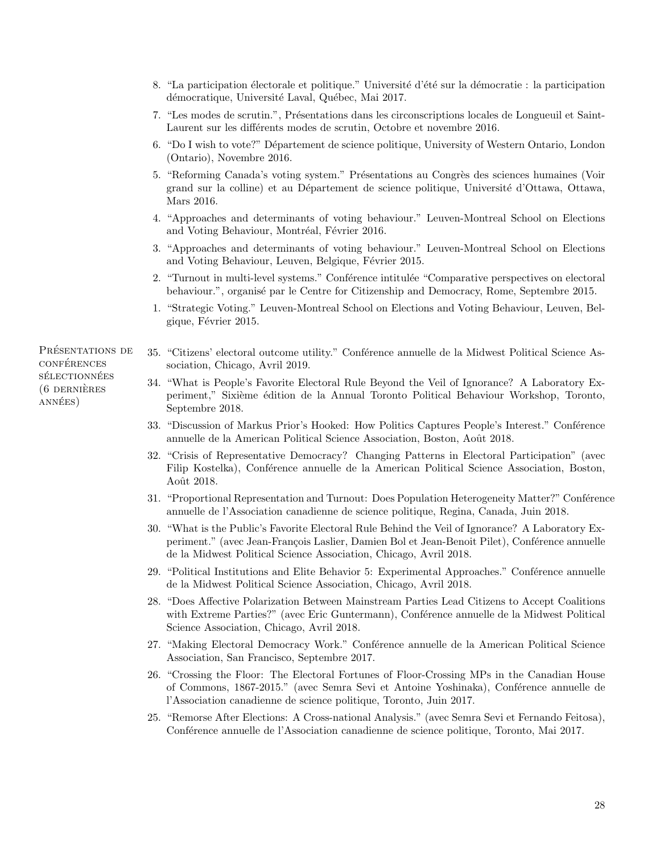- 8. "La participation électorale et politique." Université d'été sur la démocratie : la participation démocratique, Université Laval, Québec, Mai 2017.
- 7. "Les modes de scrutin.", Présentations dans les circonscriptions locales de Longueuil et Saint-Laurent sur les différents modes de scrutin, Octobre et novembre 2016.
- 6. "Do I wish to vote?" D´epartement de science politique, University of Western Ontario, London (Ontario), Novembre 2016.
- 5. "Reforming Canada's voting system." Présentations au Congrès des sciences humaines (Voir grand sur la colline) et au Département de science politique, Université d'Ottawa, Ottawa, Mars 2016.
- 4. "Approaches and determinants of voting behaviour." Leuven-Montreal School on Elections and Voting Behaviour, Montréal, Février 2016.
- 3. "Approaches and determinants of voting behaviour." Leuven-Montreal School on Elections and Voting Behaviour, Leuven, Belgique, Février 2015.
- 2. "Turnout in multi-level systems." Conférence intitulée "Comparative perspectives on electoral behaviour.", organisé par le Centre for Citizenship and Democracy, Rome, Septembre 2015.
- 1. "Strategic Voting." Leuven-Montreal School on Elections and Voting Behaviour, Leuven, Belgique, Février 2015.
- 35. "Citizens' electoral outcome utility." Conférence annuelle de la Midwest Political Science Association, Chicago, Avril 2019.
- 34. "What is People's Favorite Electoral Rule Beyond the Veil of Ignorance? A Laboratory Experiment," Sixième édition de la Annual Toronto Political Behaviour Workshop, Toronto, Septembre 2018.
- 33. "Discussion of Markus Prior's Hooked: How Politics Captures People's Interest." Conférence annuelle de la American Political Science Association, Boston, Août 2018.
- 32. "Crisis of Representative Democracy? Changing Patterns in Electoral Participation" (avec Filip Kostelka), Conférence annuelle de la American Political Science Association, Boston, Août 2018.
- 31. "Proportional Representation and Turnout: Does Population Heterogeneity Matter?" Conférence annuelle de l'Association canadienne de science politique, Regina, Canada, Juin 2018.
- 30. "What is the Public's Favorite Electoral Rule Behind the Veil of Ignorance? A Laboratory Experiment." (avec Jean-François Laslier, Damien Bol et Jean-Benoit Pilet), Conférence annuelle de la Midwest Political Science Association, Chicago, Avril 2018.
- 29. "Political Institutions and Elite Behavior 5: Experimental Approaches." Conférence annuelle de la Midwest Political Science Association, Chicago, Avril 2018.
- 28. "Does Affective Polarization Between Mainstream Parties Lead Citizens to Accept Coalitions with Extreme Parties?" (avec Eric Guntermann), Conférence annuelle de la Midwest Political Science Association, Chicago, Avril 2018.
- 27. "Making Electoral Democracy Work." Conférence annuelle de la American Political Science Association, San Francisco, Septembre 2017.
- 26. "Crossing the Floor: The Electoral Fortunes of Floor-Crossing MPs in the Canadian House of Commons, 1867-2015." (avec Semra Sevi et Antoine Yoshinaka), Conférence annuelle de l'Association canadienne de science politique, Toronto, Juin 2017.
- 25. "Remorse After Elections: A Cross-national Analysis." (avec Semra Sevi et Fernando Feitosa), Conférence annuelle de l'Association canadienne de science politique, Toronto, Mai 2017.

PRÉSENTATIONS DE **CONFÉRENCES** SÉLECTIONNÉES  $(6$  DERNIÈRES ANNÉES)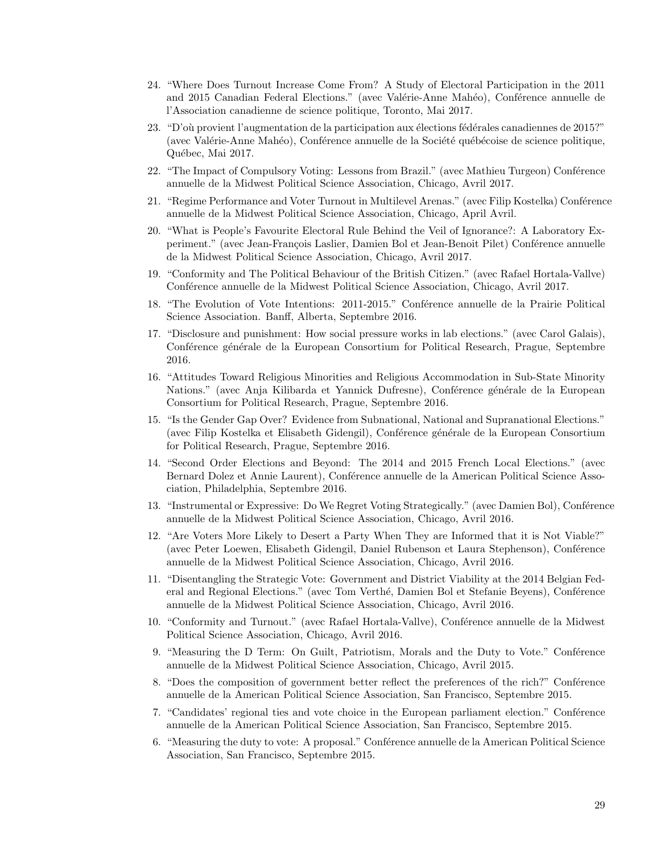- 24. "Where Does Turnout Increase Come From? A Study of Electoral Participation in the 2011 and 2015 Canadian Federal Elections." (avec Valérie-Anne Mahéo), Conférence annuelle de l'Association canadienne de science politique, Toronto, Mai 2017.
- 23. "D'où provient l'augmentation de la participation aux élections fédérales canadiennes de 2015?" (avec Valérie-Anne Mahéo), Conférence annuelle de la Société québécoise de science politique, Québec, Mai 2017.
- 22. "The Impact of Compulsory Voting: Lessons from Brazil." (avec Mathieu Turgeon) Conférence annuelle de la Midwest Political Science Association, Chicago, Avril 2017.
- 21. "Regime Performance and Voter Turnout in Multilevel Arenas." (avec Filip Kostelka) Conférence annuelle de la Midwest Political Science Association, Chicago, April Avril.
- 20. "What is People's Favourite Electoral Rule Behind the Veil of Ignorance?: A Laboratory Experiment." (avec Jean-François Laslier, Damien Bol et Jean-Benoit Pilet) Conférence annuelle de la Midwest Political Science Association, Chicago, Avril 2017.
- 19. "Conformity and The Political Behaviour of the British Citizen." (avec Rafael Hortala-Vallve) Conférence annuelle de la Midwest Political Science Association, Chicago, Avril 2017.
- 18. "The Evolution of Vote Intentions: 2011-2015." Conférence annuelle de la Prairie Political Science Association. Banff, Alberta, Septembre 2016.
- 17. "Disclosure and punishment: How social pressure works in lab elections." (avec Carol Galais), Conférence générale de la European Consortium for Political Research, Prague, Septembre 2016.
- 16. "Attitudes Toward Religious Minorities and Religious Accommodation in Sub-State Minority Nations." (avec Anja Kilibarda et Yannick Dufresne), Conférence générale de la European Consortium for Political Research, Prague, Septembre 2016.
- 15. "Is the Gender Gap Over? Evidence from Subnational, National and Supranational Elections." (avec Filip Kostelka et Elisabeth Gidengil), Conférence générale de la European Consortium for Political Research, Prague, Septembre 2016.
- 14. "Second Order Elections and Beyond: The 2014 and 2015 French Local Elections." (avec Bernard Dolez et Annie Laurent), Conférence annuelle de la American Political Science Association, Philadelphia, Septembre 2016.
- 13. "Instrumental or Expressive: Do We Regret Voting Strategically." (avec Damien Bol), Conférence annuelle de la Midwest Political Science Association, Chicago, Avril 2016.
- 12. "Are Voters More Likely to Desert a Party When They are Informed that it is Not Viable?" (avec Peter Loewen, Elisabeth Gidengil, Daniel Rubenson et Laura Stephenson), Conférence annuelle de la Midwest Political Science Association, Chicago, Avril 2016.
- 11. "Disentangling the Strategic Vote: Government and District Viability at the 2014 Belgian Federal and Regional Elections." (avec Tom Verthé, Damien Bol et Stefanie Beyens), Conférence annuelle de la Midwest Political Science Association, Chicago, Avril 2016.
- 10. "Conformity and Turnout." (avec Rafael Hortala-Vallve), Conférence annuelle de la Midwest Political Science Association, Chicago, Avril 2016.
- 9. "Measuring the D Term: On Guilt, Patriotism, Morals and the Duty to Vote." Conférence annuelle de la Midwest Political Science Association, Chicago, Avril 2015.
- 8. "Does the composition of government better reflect the preferences of the rich?" Conférence annuelle de la American Political Science Association, San Francisco, Septembre 2015.
- 7. "Candidates' regional ties and vote choice in the European parliament election." Conférence annuelle de la American Political Science Association, San Francisco, Septembre 2015.
- 6. "Measuring the duty to vote: A proposal." Conférence annuelle de la American Political Science Association, San Francisco, Septembre 2015.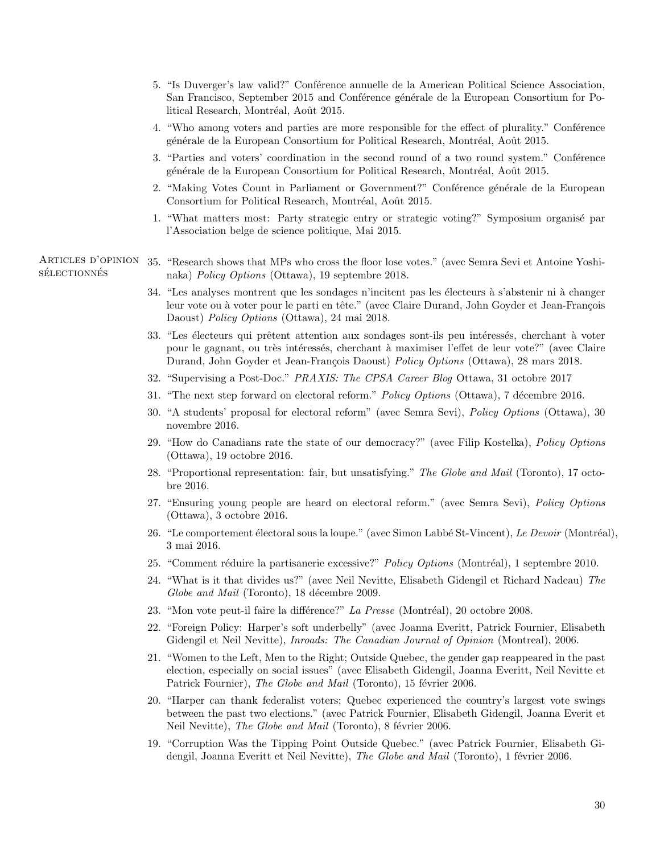- 5. "Is Duverger's law valid?" Conférence annuelle de la American Political Science Association, San Francisco, September 2015 and Conférence générale de la European Consortium for Political Research, Montréal, Août 2015.
- 4. "Who among voters and parties are more responsible for the effect of plurality." Conference générale de la European Consortium for Political Research, Montréal, Août 2015.
- 3. "Parties and voters' coordination in the second round of a two round system." Conference générale de la European Consortium for Political Research, Montréal, Août 2015.
- 2. "Making Votes Count in Parliament or Government?" Conférence générale de la European Consortium for Political Research, Montréal, Août 2015.
- 1. "What matters most: Party strategic entry or strategic voting?" Symposium organisé par l'Association belge de science politique, Mai 2015.

Articles d'opinion  $SÉLECTION NÉS$ 35. "Research shows that MPs who cross the floor lose votes." (avec Semra Sevi et Antoine Yoshinaka) Policy Options (Ottawa), 19 septembre 2018.

- 34. "Les analyses montrent que les sondages n'incitent pas les électeurs à s'abstenir ni à changer leur vote ou à voter pour le parti en tête." (avec Claire Durand, John Goyder et Jean-François Daoust) Policy Options (Ottawa), 24 mai 2018.
- 33. "Les électeurs qui prêtent attention aux sondages sont-ils peu intéressés, cherchant à voter pour le gagnant, ou très intéressés, cherchant à maximiser l'effet de leur vote?" (avec Claire Durand, John Goyder et Jean-François Daoust) Policy Options (Ottawa), 28 mars 2018.
- 32. "Supervising a Post-Doc." PRAXIS: The CPSA Career Blog Ottawa, 31 octobre 2017
- 31. "The next step forward on electoral reform." *Policy Options* (Ottawa), 7 décembre 2016.
- 30. "A students' proposal for electoral reform" (avec Semra Sevi), Policy Options (Ottawa), 30 novembre 2016.
- 29. "How do Canadians rate the state of our democracy?" (avec Filip Kostelka), Policy Options (Ottawa), 19 octobre 2016.
- 28. "Proportional representation: fair, but unsatisfying." The Globe and Mail (Toronto), 17 octobre 2016.
- 27. "Ensuring young people are heard on electoral reform." (avec Semra Sevi), Policy Options (Ottawa), 3 octobre 2016.
- 26. "Le comportement électoral sous la loupe." (avec Simon Labbé St-Vincent), Le Devoir (Montréal), 3 mai 2016.
- 25. "Comment réduire la partisanerie excessive?" Policy Options (Montréal), 1 septembre 2010.
- 24. "What is it that divides us?" (avec Neil Nevitte, Elisabeth Gidengil et Richard Nadeau) The Globe and Mail (Toronto), 18 décembre 2009.
- 23. "Mon vote peut-il faire la différence?" La Presse (Montréal), 20 octobre 2008.
- 22. "Foreign Policy: Harper's soft underbelly" (avec Joanna Everitt, Patrick Fournier, Elisabeth Gidengil et Neil Nevitte), *Inroads: The Canadian Journal of Opinion* (Montreal), 2006.
- 21. "Women to the Left, Men to the Right; Outside Quebec, the gender gap reappeared in the past election, especially on social issues" (avec Elisabeth Gidengil, Joanna Everitt, Neil Nevitte et Patrick Fournier), The Globe and Mail (Toronto), 15 février 2006.
- 20. "Harper can thank federalist voters; Quebec experienced the country's largest vote swings between the past two elections." (avec Patrick Fournier, Elisabeth Gidengil, Joanna Everit et Neil Nevitte), The Globe and Mail (Toronto), 8 février 2006.
- 19. "Corruption Was the Tipping Point Outside Quebec." (avec Patrick Fournier, Elisabeth Gidengil, Joanna Everitt et Neil Nevitte), *The Globe and Mail* (Toronto), 1 février 2006.

30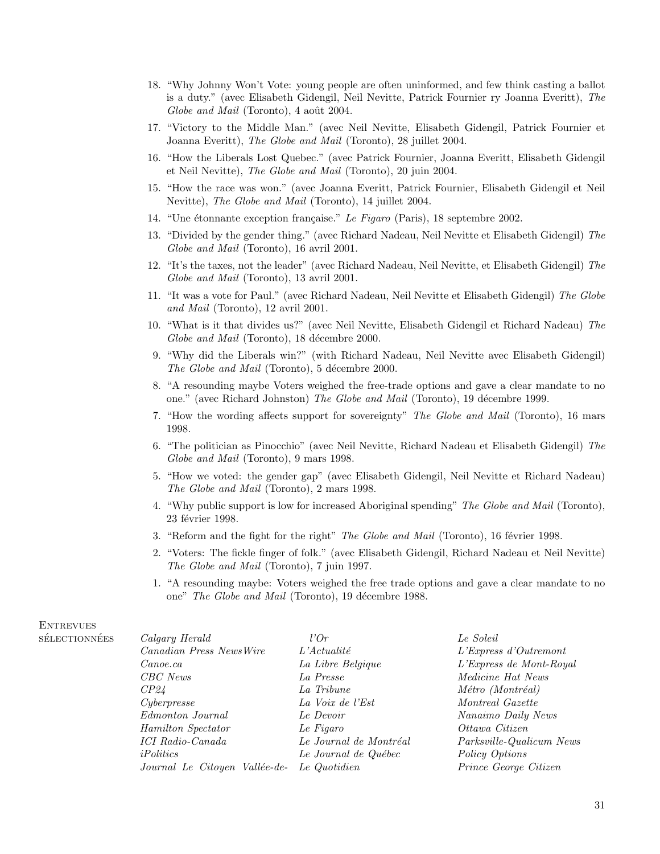- 18. "Why Johnny Won't Vote: young people are often uninformed, and few think casting a ballot is a duty." (avec Elisabeth Gidengil, Neil Nevitte, Patrick Fournier ry Joanna Everitt), The Globe and Mail (Toronto), 4 août 2004.
- 17. "Victory to the Middle Man." (avec Neil Nevitte, Elisabeth Gidengil, Patrick Fournier et Joanna Everitt), The Globe and Mail (Toronto), 28 juillet 2004.
- 16. "How the Liberals Lost Quebec." (avec Patrick Fournier, Joanna Everitt, Elisabeth Gidengil et Neil Nevitte), The Globe and Mail (Toronto), 20 juin 2004.
- 15. "How the race was won." (avec Joanna Everitt, Patrick Fournier, Elisabeth Gidengil et Neil Nevitte), The Globe and Mail (Toronto), 14 juillet 2004.
- 14. "Une étonnante exception française." Le Figaro (Paris), 18 septembre 2002.
- 13. "Divided by the gender thing." (avec Richard Nadeau, Neil Nevitte et Elisabeth Gidengil) The Globe and Mail (Toronto), 16 avril 2001.
- 12. "It's the taxes, not the leader" (avec Richard Nadeau, Neil Nevitte, et Elisabeth Gidengil) The Globe and Mail (Toronto), 13 avril 2001.
- 11. "It was a vote for Paul." (avec Richard Nadeau, Neil Nevitte et Elisabeth Gidengil) The Globe and Mail (Toronto), 12 avril 2001.
- 10. "What is it that divides us?" (avec Neil Nevitte, Elisabeth Gidengil et Richard Nadeau) The Globe and Mail (Toronto), 18 décembre 2000.
- 9. "Why did the Liberals win?" (with Richard Nadeau, Neil Nevitte avec Elisabeth Gidengil) The Globe and Mail (Toronto), 5 décembre 2000.
- 8. "A resounding maybe Voters weighed the free-trade options and gave a clear mandate to no one." (avec Richard Johnston) The Globe and Mail (Toronto), 19 décembre 1999.
- 7. "How the wording affects support for sovereignty" The Globe and Mail (Toronto), 16 mars 1998.
- 6. "The politician as Pinocchio" (avec Neil Nevitte, Richard Nadeau et Elisabeth Gidengil) The Globe and Mail (Toronto), 9 mars 1998.
- 5. "How we voted: the gender gap" (avec Elisabeth Gidengil, Neil Nevitte et Richard Nadeau) The Globe and Mail (Toronto), 2 mars 1998.
- 4. "Why public support is low for increased Aboriginal spending" The Globe and Mail (Toronto), 23 février 1998.
- 3. "Reform and the fight for the right" *The Globe and Mail* (Toronto), 16 février 1998.
- 2. "Voters: The fickle finger of folk." (avec Elisabeth Gidengil, Richard Nadeau et Neil Nevitte) The Globe and Mail (Toronto), 7 juin 1997.
- 1. "A resounding maybe: Voters weighed the free trade options and gave a clear mandate to no one" The Globe and Mail (Toronto), 19 décembre 1988.

| <b>ES</b> | Calgary Herald                | l'Or                   | Le Soleil                |
|-----------|-------------------------------|------------------------|--------------------------|
|           | Canadian Press NewsWire       | $L'A$ ctualité         | L'Express d'Outremont    |
|           | Canoe, ca                     | La Libre Belgique      | L'Express de Mont-Royal  |
|           | CBC News                      | La Presse              | Medicine Hat News        |
|           | <i>CP24</i>                   | La Tribune             | Métro (Montréal)         |
|           | Cyberpresse                   | La Voix de l'Est       | Montreal Gazette         |
|           | Edmonton Journal              | Le Devoir              | Nanaimo Daily News       |
|           | Hamilton Spectator            | Le Figaro              | Ottawa Citizen           |
|           | <b>ICI</b> Radio-Canada       | Le Journal de Montréal | Parksville-Qualicum News |
|           | iPolitics                     | Le Journal de Québec   | Policy Options           |
|           | Journal Le Citoyen Vallée-de- | Le Quotidien           | Prince George Citizen    |

## **ENTREVUES** SÉLECTIONNÉ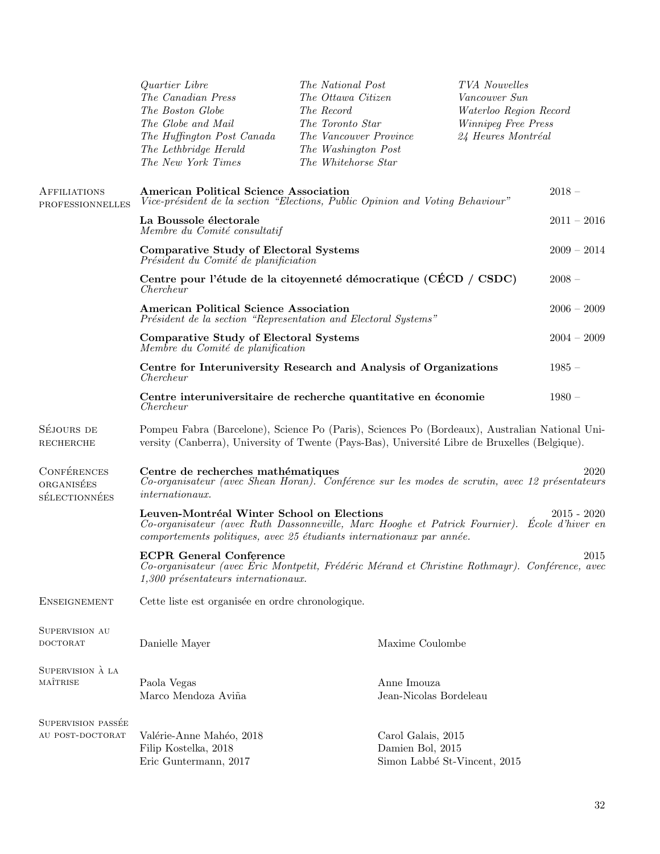|                                                | Quartier Libre<br>The Canadian Press<br>The Boston Globe<br>The Globe and Mail<br>The Huffington Post Canada<br>The Lethbridge Herald<br>The New York Times                                                         | The National Post<br>The Ottawa Citizen<br>The Record<br>The Toronto Star<br>The Vancouver Province<br>The Washington Post<br>The Whitehorse Star |                                                                        | TVA Nouvelles<br>Vancouver Sun<br>Waterloo Region Record<br>Winnipeg Free Press<br>24 Heures Montréal |          |
|------------------------------------------------|---------------------------------------------------------------------------------------------------------------------------------------------------------------------------------------------------------------------|---------------------------------------------------------------------------------------------------------------------------------------------------|------------------------------------------------------------------------|-------------------------------------------------------------------------------------------------------|----------|
| <b>AFFILIATIONS</b><br><b>PROFESSIONNELLES</b> | <b>American Political Science Association</b><br>Vice-président de la section "Elections, Public Opinion and Voting Behaviour"                                                                                      |                                                                                                                                                   |                                                                        |                                                                                                       | $2018 -$ |
|                                                | La Boussole électorale<br>Membre du Comité consultatif                                                                                                                                                              |                                                                                                                                                   |                                                                        | $2011 - 2016$                                                                                         |          |
|                                                | <b>Comparative Study of Electoral Systems</b><br>Président du Comité de planificiation                                                                                                                              |                                                                                                                                                   |                                                                        | $2009 - 2014$                                                                                         |          |
|                                                | Centre pour l'étude de la citoyenneté démocratique (CECD / CSDC)<br>Chercheur                                                                                                                                       |                                                                                                                                                   |                                                                        |                                                                                                       | $2008 -$ |
|                                                | <b>American Political Science Association</b><br>Président de la section "Representation and Electoral Systems"                                                                                                     |                                                                                                                                                   |                                                                        | $2006 - 2009$                                                                                         |          |
|                                                | <b>Comparative Study of Electoral Systems</b><br>Membre du Comité de planification                                                                                                                                  |                                                                                                                                                   |                                                                        | $2004 - 2009$                                                                                         |          |
|                                                | Centre for Interuniversity Research and Analysis of Organizations<br>Chercheur                                                                                                                                      |                                                                                                                                                   |                                                                        | $1985 -$                                                                                              |          |
|                                                | Centre interuniversitaire de recherche quantitative en économie<br>Chercheur                                                                                                                                        |                                                                                                                                                   |                                                                        |                                                                                                       | $1980 -$ |
| SÉJOURS DE<br><b>RECHERCHE</b>                 | Pompeu Fabra (Barcelone), Science Po (Paris), Sciences Po (Bordeaux), Australian National Uni-<br>versity (Canberra), University of Twente (Pays-Bas), Université Libre de Bruxelles (Belgique).                    |                                                                                                                                                   |                                                                        |                                                                                                       |          |
| CONFÉRENCES<br>ORGANISÉES<br>SÉLECTIONNÉES     | Centre de recherches mathématiques<br>2020<br>Co-organisateur (avec Shean Horan). Conférence sur les modes de scrutin, avec 12 présentateurs<br>international x.                                                    |                                                                                                                                                   |                                                                        |                                                                                                       |          |
|                                                | Leuven-Montréal Winter School on Elections<br>Co-organisateur (avec Ruth Dassonneville, Marc Hooghe et Patrick Fournier). École d'hiver en<br>comportements politiques, avec 25 étudiants internationaux par année. |                                                                                                                                                   |                                                                        | $2015 - 2020$                                                                                         |          |
|                                                | <b>ECPR General Conference</b><br>Co-organisateur (avec Éric Montpetit, Frédéric Mérand et Christine Rothmayr). Conférence, avec<br>1,300 présentateurs internationaux.                                             |                                                                                                                                                   |                                                                        | 2015                                                                                                  |          |
| <b>ENSEIGNEMENT</b>                            | Cette liste est organisée en ordre chronologique.                                                                                                                                                                   |                                                                                                                                                   |                                                                        |                                                                                                       |          |
| SUPERVISION AU<br><b>DOCTORAT</b>              | Danielle Mayer                                                                                                                                                                                                      |                                                                                                                                                   | Maxime Coulombe                                                        |                                                                                                       |          |
| SUPERVISION À LA<br>MAÎTRISE                   | Paola Vegas<br>Marco Mendoza Aviña                                                                                                                                                                                  |                                                                                                                                                   | Anne Imouza<br>Jean-Nicolas Bordeleau                                  |                                                                                                       |          |
| SUPERVISION PASSÉE<br>AU POST-DOCTORAT         | Valérie-Anne Mahéo, 2018<br>Filip Kostelka, 2018<br>Eric Guntermann, 2017                                                                                                                                           |                                                                                                                                                   | Carol Galais, 2015<br>Damien Bol, 2015<br>Simon Labbé St-Vincent, 2015 |                                                                                                       |          |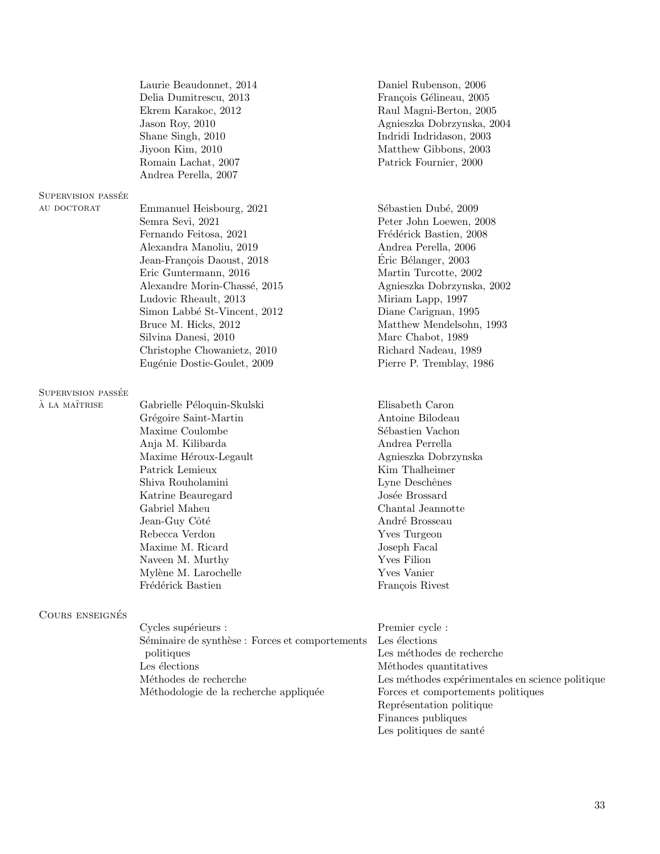|                                     | Laurie Beaudonnet, 2014<br>Delia Dumitrescu, 2013<br>Ekrem Karakoc, 2012<br>Jason Roy, 2010<br>Shane Singh, 2010<br>Jiyoon Kim, 2010<br>Romain Lachat, 2007<br>Andrea Perella, 2007                                                                                                                                                                             | Daniel Rubenson, 2006<br>François Gélineau, 2005<br>Raul Magni-Berton, 2005<br>Agnieszka Dobrzynska, 2004<br>Indridi Indridason, 2003<br>Matthew Gibbons, 2003<br>Patrick Fournier, 2000                                                                                                                                           |
|-------------------------------------|-----------------------------------------------------------------------------------------------------------------------------------------------------------------------------------------------------------------------------------------------------------------------------------------------------------------------------------------------------------------|------------------------------------------------------------------------------------------------------------------------------------------------------------------------------------------------------------------------------------------------------------------------------------------------------------------------------------|
| SUPERVISION PASSÉE                  |                                                                                                                                                                                                                                                                                                                                                                 |                                                                                                                                                                                                                                                                                                                                    |
| AU DOCTORAT                         | Emmanuel Heisbourg, 2021<br>Semra Sevi, 2021<br>Fernando Feitosa, 2021<br>Alexandra Manoliu, 2019<br>Jean-François Daoust, 2018<br>Eric Guntermann, 2016<br>Alexandre Morin-Chassé, 2015<br>Ludovic Rheault, 2013<br>Simon Labbé St-Vincent, 2012<br>Bruce M. Hicks, 2012<br>Silvina Danesi, 2010<br>Christophe Chowanietz, 2010<br>Eugénie Dostie-Goulet, 2009 | Sébastien Dubé, 2009<br>Peter John Loewen, 2008<br>Frédérick Bastien, 2008<br>Andrea Perella, 2006<br>Eric Bélanger, 2003<br>Martin Turcotte, 2002<br>Agnieszka Dobrzynska, 2002<br>Miriam Lapp, 1997<br>Diane Carignan, 1995<br>Matthew Mendelsohn, 1993<br>Marc Chabot, 1989<br>Richard Nadeau, 1989<br>Pierre P. Tremblay, 1986 |
| SUPERVISION PASSÉE<br>À LA MAÎTRISE | Gabrielle Péloquin-Skulski<br>Grégoire Saint-Martin<br>Maxime Coulombe<br>Anja M. Kilibarda<br>Maxime Héroux-Legault<br>Patrick Lemieux<br>Shiva Rouholamini<br>Katrine Beauregard<br>Gabriel Maheu<br>Jean-Guy Côté<br>Rebecca Verdon<br>Maxime M. Ricard<br>Naveen M. Murthy<br>Mylène M. Larochelle<br>Frédérick Bastien                                     | Elisabeth Caron<br>Antoine Bilodeau<br>Sébastien Vachon<br>Andrea Perrella<br>Agnieszka Dobrzynska<br>Kim Thalheimer<br>Lyne Deschênes<br>Josée Brossard<br>Chantal Jeannotte<br>André Brosseau<br><b>Yves Turgeon</b><br>Joseph Facal<br>Yves Filion<br>Yves Vanier<br>François Rivest                                            |
| COURS ENSEIGNÉS                     | Cycles supérieurs :<br>Séminaire de synthèse : Forces et comportements<br>politiques<br>Les élections<br>Méthodes de recherche<br>Méthodologie de la recherche appliquée                                                                                                                                                                                        | Premier cycle:<br>Les élections<br>Les méthodes de recherche<br>Méthodes quantitatives<br>Les méthodes expérimentales en science politique<br>Forces et comportements politiques<br>Représentation politique<br>Finances publiques<br>Les politiques de santé                                                                      |